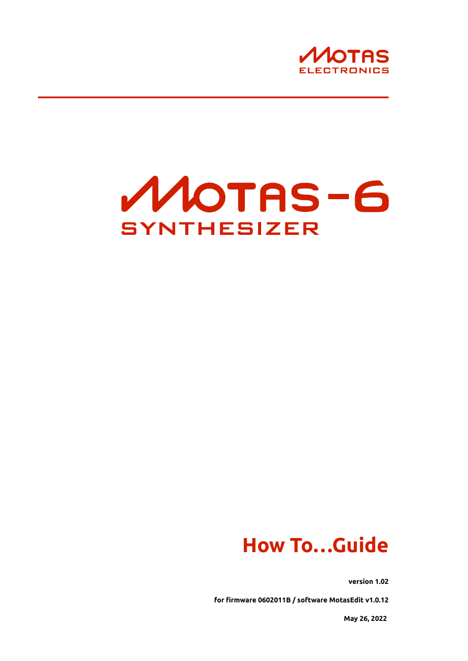



# **How To…Guide**

**version 1.02**

**for firmware 0602011B / software MotasEdit v1.0.12**

**May 26, 2022**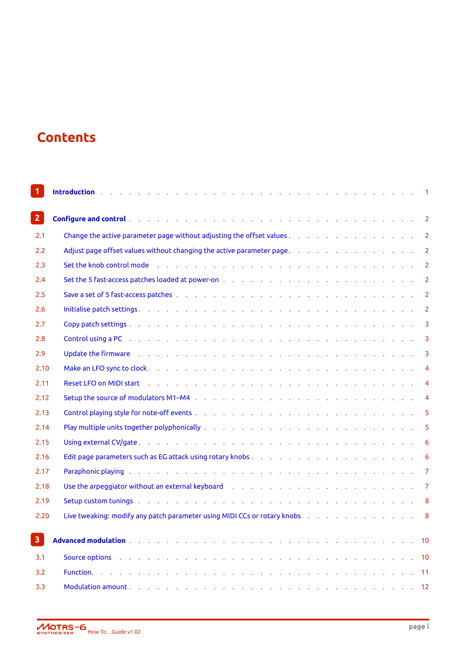## **Contents**

| $\mathbf{1}$   | Introduction (Contact and Contact and Contact and Contact and Contact and Contact and Contact and Contact and<br>$\mathbf{1}$                                                                                                                    |  |
|----------------|--------------------------------------------------------------------------------------------------------------------------------------------------------------------------------------------------------------------------------------------------|--|
| 2 <sup>1</sup> |                                                                                                                                                                                                                                                  |  |
| 2.1            | Change the active parameter page without adjusting the offset values 2                                                                                                                                                                           |  |
| 2.2            | Adjust page offset values without changing the active parameter page.<br>$\overline{2}$                                                                                                                                                          |  |
| 2.3            | $\overline{2}$                                                                                                                                                                                                                                   |  |
| 2.4            | $\overline{2}$                                                                                                                                                                                                                                   |  |
| 2.5            | $\overline{2}$                                                                                                                                                                                                                                   |  |
| 2.6            | Initialise patch settings. The contract of the control of the control of the control of the control of the control of the control of the control of the control of the control of the control of the control of the control of<br>$\overline{2}$ |  |
| 2.7            | $\overline{\mathbf{3}}$                                                                                                                                                                                                                          |  |
| 2.8            | Control using a PC <sub>2</sub> by a control of the control of the control of the control of the control of the control of the control of the control of the control of the control of the control of the control of the control of the<br>3     |  |
| 2.9            | Update the firmware the condition of the condition of the condition of the condition of the condition of the condition of the condition of the condition of the condition of the condition of the condition of the condition o<br>$\overline{3}$ |  |
| 2.10           | $\overline{4}$                                                                                                                                                                                                                                   |  |
| 2.11           | $\overline{4}$                                                                                                                                                                                                                                   |  |
| 2.12           | $\overline{4}$                                                                                                                                                                                                                                   |  |
| 2.13           | 5                                                                                                                                                                                                                                                |  |
| 2.14           | 5                                                                                                                                                                                                                                                |  |
| 2.15           | 6                                                                                                                                                                                                                                                |  |
| 2.16           | 6                                                                                                                                                                                                                                                |  |
| 2.17           | Paraphonic playing the content of the content of the content of the content of the content of the content of the content of the content of the content of the content of the content of the content of the content of the cont<br>$\overline{7}$ |  |
| 2.18           | Use the arpeggiator without an external keyboard (e.g. and a subset of energy contact of the state of the state of the state of the state of the state of the state of the state of the state of the state of the state of the<br>$\overline{7}$ |  |
| 2.19           | Setup custom tunings and a contact and a contact and a contact and a contact and a contact and a contact and a<br>8                                                                                                                              |  |
| 2.20           | Live tweaking: modify any patch parameter using MIDI CCs or rotary knobs<br>$\overline{\phantom{0}}$ 8                                                                                                                                           |  |
|                |                                                                                                                                                                                                                                                  |  |
| 3 <sup>1</sup> | 10                                                                                                                                                                                                                                               |  |
| 3.1            | Source options (ed. a) and a control of the control of the control of the control of the control of the control of the control of the control of the control of the control of the control of the control of the control of th                   |  |
| 3.2            | Function. The property of the property of the property of the property of the property of the property of the<br>11                                                                                                                              |  |
| 3.3            | 12                                                                                                                                                                                                                                               |  |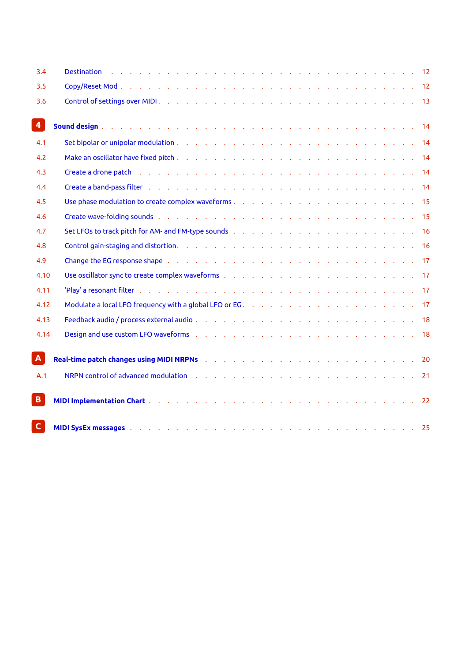| 3.4                     | Destination des conservations and conservation of the conservation of the conservation of the Destination of the Destination of the Destination of the Destination of the Destination of the Destination of the Destination of |  |  |  |  |  |  |  |  |    |
|-------------------------|--------------------------------------------------------------------------------------------------------------------------------------------------------------------------------------------------------------------------------|--|--|--|--|--|--|--|--|----|
| 3.5                     |                                                                                                                                                                                                                                |  |  |  |  |  |  |  |  |    |
| 3.6                     |                                                                                                                                                                                                                                |  |  |  |  |  |  |  |  |    |
| $\overline{\mathbf{4}}$ | Sound design by a contract and a contract of the contract of the contract of the contract of the contract of the contract of the contract of the contract of the contract of the contract of the contract of the contract of t |  |  |  |  |  |  |  |  |    |
| 4.1                     |                                                                                                                                                                                                                                |  |  |  |  |  |  |  |  |    |
| 4.2                     |                                                                                                                                                                                                                                |  |  |  |  |  |  |  |  |    |
| 4.3                     |                                                                                                                                                                                                                                |  |  |  |  |  |  |  |  |    |
| 4.4                     |                                                                                                                                                                                                                                |  |  |  |  |  |  |  |  |    |
| 4.5                     |                                                                                                                                                                                                                                |  |  |  |  |  |  |  |  |    |
| 4.6                     |                                                                                                                                                                                                                                |  |  |  |  |  |  |  |  |    |
| 4.7                     | Set LFOs to track pitch for AM- and FM-type sounds (enterpression of enterpress of the CHA state of the Set Li                                                                                                                 |  |  |  |  |  |  |  |  |    |
| 4.8                     |                                                                                                                                                                                                                                |  |  |  |  |  |  |  |  |    |
| 4.9                     | Change the EG response shape editorial enterprise enterprise enterprise enterprise to the EG response shape editorial enterprise enterprise enterprise to the EG response shape                                                |  |  |  |  |  |  |  |  |    |
| 4.10                    |                                                                                                                                                                                                                                |  |  |  |  |  |  |  |  |    |
| 4.11                    |                                                                                                                                                                                                                                |  |  |  |  |  |  |  |  |    |
| 4.12                    |                                                                                                                                                                                                                                |  |  |  |  |  |  |  |  |    |
| 4.13                    |                                                                                                                                                                                                                                |  |  |  |  |  |  |  |  |    |
| 4.14                    | Design and use custom LFO waveforms (edge of edge of edge of edge of edge of edge of edge of edge of the edge of the edge of the edge of the edge of the edge of the edge of the edge of the edge of the edge of the edge of t |  |  |  |  |  |  |  |  |    |
| A                       | Real-time patch changes using MIDI NRPNs (et al., et al., et al., et al., et al., et al., et al., et al., 20                                                                                                                   |  |  |  |  |  |  |  |  |    |
| A.1                     | NRPN control of advanced modulation (education of the control of the control of a control of advanced modulation (education of the control of the control of 21 and 21 and 22 and 22 and 22 and 22 and 22 and 22 and 22 and 22 |  |  |  |  |  |  |  |  |    |
| $\mathbf{B}$            | MIDI Implementation Chart (Contact Contact Contact Contact Contact Contact Contact Contact Contact Contact Contact Contact Contact Contact Contact Contact Contact Contact Contact Contact Contact Contact Contact Contact Con |  |  |  |  |  |  |  |  | 22 |
| $\mathsf{C}$            | MIDI SysEx messages but a contract of the contract of the contract of the contract of the contract of the contract of the contract of the contract of the contract of the contract of the contract of the contract of the cont |  |  |  |  |  |  |  |  |    |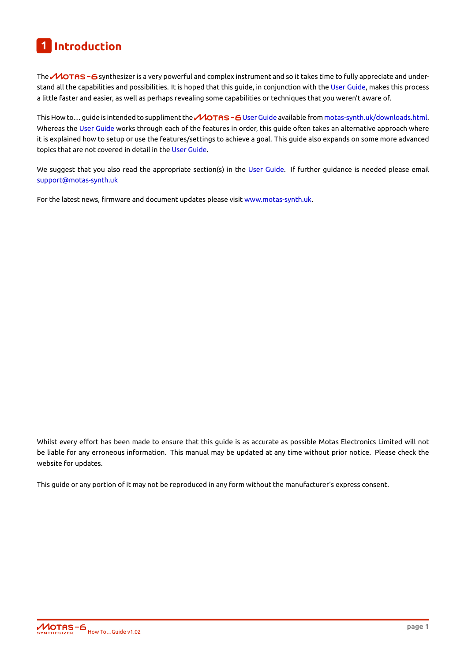### **1 Introduction**

The  $\mathcal M$ OTAS – 6 synthesizer is a very powerful and complex instrument and so it takes time to fully appreciate and understand all the capabilities and possibilities. It is hoped that this guide, in conjunction with the User Guide, makes this process a little faster and easier, as well as perhaps revealing some capabilities or techniques that you weren't aware of.

<span id="page-3-0"></span>This How to... guide is intended to suppliment the  $\mathcal M$ OTAS – 6 User Guide available from motas-synth.uk/downloads.html. Whereas the User Guide works through each of the features in order, this guide often takes [an alternat](#page-3-0)ive approach where it is explained how to setup or use the features/settings to achieve a goal. This guide also expands on some more advanced topics that are not covered in detail in the User Guide.

We suggest [that you als](#page-3-0)o read the appropriate section(s) in the User Guide. If further guidance is needed please email support@motas-synth.uk

For the latest news, firmware and document updates please visit www.motas-synth.uk.

Whilst every effort has been made to ensure that this guide is as accurate as possible Motas Electronics Limited will not be liable for any erroneous information. This manual may be updated at any time without prior notice. Please check the website for updates.

This guide or any portion of it may not be reproduced in any form without the manufacturer's express consent.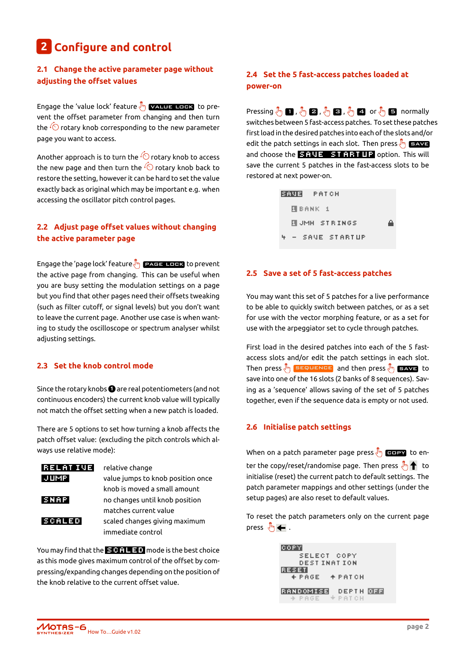## **2 Configure and control**

#### <span id="page-4-0"></span>**2.1 Change the active parameter page without adjusting the offset values**

Engage the 'value lock' feature  $\sqrt[8]{\mathbb{F}_2}$  **value lock** to prevent the offset parameter from changing and then turn the  $\sqrt{\ }$  rotary knob corresponding to the new parameter page you want to access.

Another approach is to turn the  $\sqrt{\circ}$  rotary knob to access the new page and then turn the  $\widehat{\circ}$  rotary knob back to restore the setting, however it can be hard to set the value exactly back as original which may be important e.g. when accessing the oscillator pitch control pages.

#### <span id="page-4-1"></span>**2.2 Adjust page offset values without changing the active parameter page**

Engage the 'page lock' feature  $\sqrt[8]{\mathbb{F}_2}$  **page lock** to prevent the active page from changing. This can be useful when you are busy setting the modulation settings on a page but you find that other pages need their offsets tweaking (such as filter cutoff, or signal levels) but you don't want to leave the current page. Another use case is when wanting to study the oscilloscope or spectrum analyser whilst adjusting settings.

#### <span id="page-4-2"></span>**2.3 Set the knob control mode**

Since the rotary knobs **1** are real potentiometers (and not continuous encoders) the current knob value will typically not match the offset setting when a new patch is loaded.

There are 5 options to set how turning a knob affects the patch offset value: (excluding the pitch controls which always use relative mode):

| <b>RELATIVE</b> | relative change                   |
|-----------------|-----------------------------------|
| JUMPI           | value jumps to knob position once |
|                 | knob is moved a small amount      |
| SNAP            | no changes until knob position    |
|                 | matches current value             |
| <b>SCALED</b>   | scaled changes giving maximum     |
|                 | immediate control                 |

<span id="page-4-3"></span>You may find that the  $\overline{S}$  of  $\overline{S}$  and mode is the best choice as this mode gives maximum control of the offset by compressing/expanding changes depending on the position of the knob relative to the current offset value.

#### **2.4 Set the 5 fast-access patches loaded at power-on**

Pressing  $\sqrt[8]{m}$  ,  $\sqrt[8]{m}$  **2** ,  $\sqrt[8]{m}$  **3** ,  $\sqrt[8]{m}$  **4** or  $\sqrt[8]{m}$  **5** normally switches between 5 fast-access patches. To set these patches first load in the desired patches into each of the slots and/or edit the patch settings in each slot. Then press  $\sqrt[8]{\mathbb{F}_2}$  save and choose the  $\overline{31112}$   $\overline{31111}$   $\overline{112}$  option. This will save the current 5 patches in the fast-access slots to be restored at next power-on.

| SAVE PATCH       |  |
|------------------|--|
| U BANK 1         |  |
| NUMH STRINGS     |  |
| 4 - SAVE STARTUP |  |

#### <span id="page-4-4"></span>**2.5 Save a set of 5 fast-access patches**

You may want this set of 5 patches for a live performance to be able to quickly switch between patches, or as a set for use with the vector morphing feature, or as a set for use with the arpeggiator set to cycle through patches.

First load in the desired patches into each of the 5 fastaccess slots and/or edit the patch settings in each slot. Then press  $\sqrt[3]{m}$  sequence and then press  $\sqrt[3]{m}$  save to save into one of the 16 slots (2 banks of 8 sequences). Saving as a 'sequence' allows saving of the set of 5 patches together, even if the sequence data is empty or not used.

#### <span id="page-4-5"></span>**2.6 Initialise patch settings**

When on a patch parameter page press  $\sqrt[8]{\mathfrak{m}}$  **example** to enter the copy/reset/randomise page. Then press  $\sqrt[8]{\cdot\frac{1}{2}}$  to initialise (reset) the current patch to default settings. The patch parameter mappings and other settings (under the setup pages) are also reset to default values.

To reset the patch parameters only on the current page press  $\sqrt[8]{m}$   $\leftarrow$  .

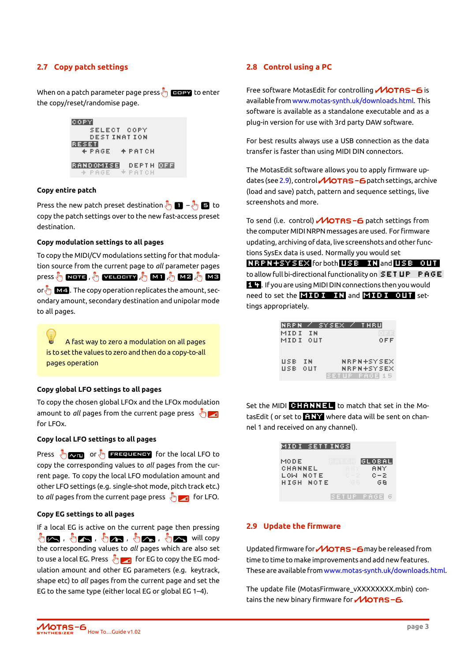#### **2.7 Copy patch settings**

<span id="page-5-0"></span>When on a patch parameter page press  $\sqrt[8]{\mathbb{F}_2}$  and to enter the copy/reset/randomise page.



#### **Copy entire patch**

Press the new patch preset destination  $\sqrt[3]{\mathbf{m}}$   $\mathbf{B}$  –  $\sqrt[3]{\mathbf{m}}$   $\mathbf{B}$  to copy the patch settings over to the new fast-access preset destination.

#### **Copy modulation settings to all pages**

To copy the MIDI/CV modulations setting for that modulation source from the current page to *all* parameter pages press  $\sqrt[3]{\mathbb{N}}$  ,  $\overline{\mathbf{M1}}$  ,  $\sqrt[3]{\mathbb{N}}$  ,  $\overline{\mathbf{M2}}$  ,  $\sqrt[3]{\mathbb{N}}$  ,  $\overline{\mathbf{M3}}$  ,  $\overline{\mathbb{N}}$  ,  $\overline{\mathbf{M3}}$ or  $\sqrt[8]{\mathsf{m}}$  **M4**. The copy operation replicates the amount, secondary amount, secondary destination and unipolar mode to all pages.

A fast way to zero a modulation on all pages is to set the values to zero and then do a copy-to-all pages operation

#### **Copy global LFO settings to all pages**

To copy the chosen global LFOx and the LFOx modulation amount to *all* pages from the current page press  $\sqrt[8]{\cdot}$ for LFOx.

#### **Copy local LFO settings to all pages**

Press  $\sqrt[8]{m}$  or  $\sqrt[8]{m}$  **EREQUENCY** for the local LFO to copy the corresponding values to *all* pages from the current page. To copy the local LFO modulation amount and other LFO settings (e.g. single-shot mode, pitch track etc.) to *all* pages from the current page press  $\sqrt[8]{\cdot}$  for LFO.

#### **Copy EG settings to all pages**

If a local EG is active on the current page then pressing  $\mathbb{F}_{\mathbb{Z}}$  ,  $\mathbb{F}_{\mathbb{Z}}$  ,  $\mathbb{F}_{\mathbb{Z}}$  ,  $\mathbb{F}_{\mathbb{Z}}$  ,  $\mathbb{F}_{\mathbb{Z}}$  ,  $\mathbb{F}_{\mathbb{Z}}$  , will copy the corresponding values to *all* pages which are also set to use a local EG. Press  $\sqrt[8]{\cdot}$  for EG to copy the EG modulation amount and other EG parameters (e.g. keytrack, shape etc) to *all* pages from the current page and set the EG to the same type (either local EG or global EG 1–4).

#### **2.8 Control using a PC**

<span id="page-5-1"></span>Free software MotasEdit for controlling  $\mathcal M$ OTAS-6 is available from www.motas-synth.uk/downloads.html. This software is available as a standalone executable and as a plug-in version for use with 3rd party DAW software.

For best resul[ts always use a USB connection as the](https://www.motas-synth.uk/downloads.html) data transfer is faster than using MIDI DIN connectors.

The MotasEdit software allows you to apply firmware updates (see 2.9), control **MOTAS - 6** patch settings, archive (load and save) patch, pattern and sequence settings, live screenshots and more.

To send (i.[e. c](#page-5-2)ontrol)  $\mathcal M$ OTAS-6 patch settings from the computer MIDI NRPN messages are used. For firmware updating, archiving of data, live screenshots and other functions SysEx data is used. Normally you would set NRPN+SYSEX for both USB IN and USB OUT

to allow full bi-directional functionality on  $$ 14 . If you are using MIDI DIN connections then you would need to set the **MIDI**  $\blacksquare$  **II** and **MIDI** OUT settings appropriately.

|      |     | INRPN / SYSEX / | THRU         |
|------|-----|-----------------|--------------|
| MIDI | I N |                 |              |
| MIDI | OUT |                 | OFF          |
|      |     |                 |              |
|      |     |                 |              |
| USB  | I N |                 | NRPN+SYSEX   |
| USB  | оцт |                 | NRPN+SYSEX   |
|      |     |                 | SETUP PAGELS |

Set the MIDI **CHANNEL TO** to match that set in the MotasEdit ( or set to  $\blacksquare\blacksquare\blacksquare\blacksquare$  where data will be sent on channel 1 and received on any channel).

| MIDI SETTINGSI                           |                                                                    |
|------------------------------------------|--------------------------------------------------------------------|
| MODE<br>CHANNEL<br>LOW NOTE<br>HIGH NOTE | GLOBAL<br>PATCH<br>8 N Y<br>ANY.<br>$C = 2$<br>n – 21<br>GB<br>G B |
|                                          | SETUP PAGE                                                         |

#### **2.9 Update the firmware**

<span id="page-5-2"></span>Updated firmware for  $\mathcal M$ OTAS – 6 may be released from time to time to make improvements and add new features. These are available from www.motas-synth.uk/downloads.html.

The update file (MotasFirmware\_vXXXXXXXX.mbin) contains the new binary firmware for  $\mathcal M$ OTAS-6.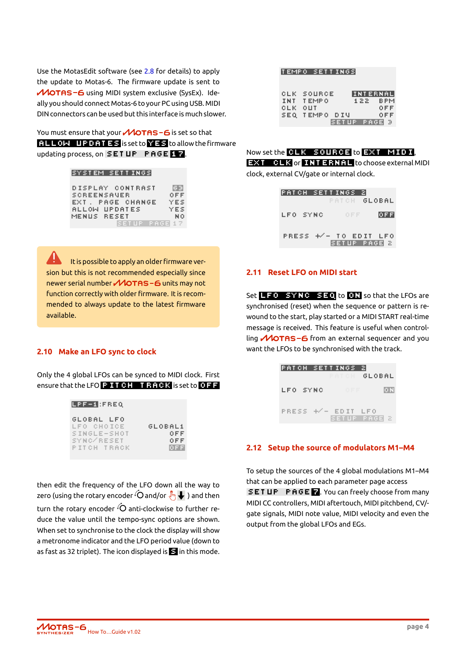Use the MotasEdit software (see 2.8 for details) to apply the update to Motas-6. The firmware update is sent to MOTAS-6 using MIDI system exclusive (SysEx). Ideally you should connect Motas-6 to your PC using USB. MIDI DIN connectors can be used but th[is in](#page-5-1)terface is much slower.

You must ensure that your  $\mathcal M$ OTAS - 6 is set so that  $R$  is set to  $R$  is set to  $R$  is set to allow the firmware updating process, on SETUP PAGE 17.

#### SYSTEM SETTINGS

| DISPLAY CONTRAST   |              | 医引   |
|--------------------|--------------|------|
| <b>SCREENSAVER</b> |              | OFF  |
| EXT. PAGE CHANGE   |              | YES  |
| ALLOW UPDATES      |              | YES  |
| MENUS RESET        |              | N 0. |
|                    | SETUP PAGE17 |      |

It is possible to apply an older firmware version but this is not recommended especially since newer serial number **MOTAS -6** units may not function correctly with older firmware. It is recommended to always update to the latest firmware available.

#### **2.10 Make an LFO sync to clock**

<span id="page-6-0"></span>Only the 4 global LFOs can be synced to MIDI clock. First ensure that the LFO  $\mathbb P$  **If I CH is that the set to OFF** 

| LPF-1:FREQ                                                           |                                 |
|----------------------------------------------------------------------|---------------------------------|
| GLOBAL LFO<br>LFO CHOICE<br>SINGLE-SHOT<br>SYNC/RESET<br>PITCH TRACK | GLOBAL1<br>OEE<br>OFF<br>IO F F |
|                                                                      |                                 |

then edit the frequency of the LFO down all the way to zero (using the rotary encoder  $\overline{O}$  and/or  $\overline{\sqrt[8]{m}}\blacktriangleright$  ) and then turn the rotary encoder  $\overline{O}$  anti-clockwise to further reduce the value until the tempo-sync options are shown. When set to synchronise to the clock the display will show a metronome indicator and the LFO period value (down to as fast as 32 triplet). The icon displayed is  $\blacksquare$  in this mode.

|         | ITEMPO SETTINGSI |                 |  |
|---------|------------------|-----------------|--|
|         | CLK SOURCE       | <b>INTERNAL</b> |  |
|         | INT TEMPO        | 122 BPM         |  |
| CLK OUT | SEQ TEMPO DIU    | OFF<br>0 F F    |  |
|         |                  | SETUP PAGE 3    |  |

|  |  | Now set the CLK SOURCE to EXT MIDI, |  |  |
|--|--|-------------------------------------|--|--|
|--|--|-------------------------------------|--|--|

**EXT CLK** or **INTERNEL** to choose external MIDI clock, external CV/gate or internal clock.

> **PATCH SETTINGS 2 GLOBAL** LFO SYNC **OFF** PRESS +/- TO EDIT LFO SETUP PAGE 2

#### **2.11 Reset LFO on MIDI start**

<span id="page-6-1"></span>Set  $L = 0$  synch seq to 0.1 so that the LFOs are synchronised (reset) when the sequence or pattern is rewound to the start, play started or a MIDI START real-time message is received. This feature is useful when controlling  $\mathcal M$ OTAS-6 from an external sequencer and you want the LFOs to be synchronised with the track.

|          | PATCH SETTINGS<br>PATCH - | R<br>GLOBAL  |
|----------|---------------------------|--------------|
| LFO SYNC | OFF.                      | ЮN           |
|          | PRESS +/- EDIT LFO        | SETUP PAGE 2 |

#### **2.12 Setup the source of modulators M1–M4**

<span id="page-6-2"></span>To setup the sources of the 4 global modulations M1–M4 that can be applied to each parameter page access SET UP PAGE 7. You can freely choose from many MIDI CC controllers, MIDI aftertouch, MIDI pitchbend, CV/ gate signals, MIDI note value, MIDI velocity and even the output from the global LFOs and EGs.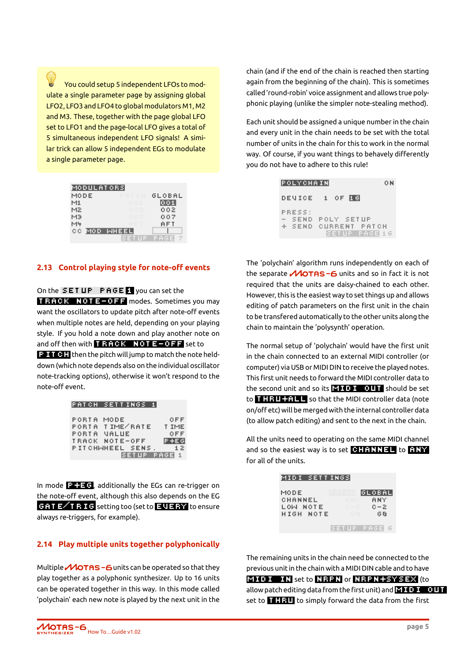You could setup 5 independent LFOs to modulate a single parameter page by assigning global LFO2, LFO3 and LFO4 to global modulators M1, M2 and M3. These, together with the page global LFO set to LFO1 and the page-local LFO gives a total of 5 simultaneous independent LFO signals! A similar trick can allow 5 independent EGs to modulate a single parameter page.

| MODULATORS |           |        |
|------------|-----------|--------|
| MODE       | PATCH     | GLOBAL |
| M1.        | 001       | 001    |
| M2.        | 002       | 002    |
| MЭ         | 007       | 007    |
| M4         |           | AFT    |
| C C        | MOD WHEEL |        |
|            | ET UP.    | PAGEI  |

#### <span id="page-7-0"></span>**2.13 Control playing style for note-off events**

On the SETUP PAGE 1 you can set the **TRACK NOTE-OFF** modes. Sometimes you may want the oscillators to update pitch after note-off events when multiple notes are held, depending on your playing style. If you hold a note down and play another note on and off then with  $\overline{\mathbf{r}}$  RACK NOTE-OFF set to **Pitch then** the pitch will jump to match the note held-

down (which note depends also on the individual oscillator note-tracking options), otherwise it won't respond to the note-off event.

| PATCH SETTINGS 1 |              |         |
|------------------|--------------|---------|
|                  |              |         |
| PORTA MODE       |              | OFF     |
| PORTA IIME/RATE  |              | T IME   |
| PORTA MALUE      |              | OFF     |
| TRACK NOTE-OFF.  |              | IP +E G |
| PITCHMHEEL SENS. |              | 1 Z     |
|                  | SETUP PAGE 1 |         |

In mode  $\mathbf{P}$  additionally the EGs can re-trigger on the note-off event, although this also depends on the EG GAT E<sup>1</sup>RIG</del> setting too (set to **EVERY** to ensure always re-triggers, for example).

#### <span id="page-7-1"></span>**2.14 Play multiple units together polyphonically**

Multiple  $\mathcal M$ OTAS - 6 units can be operated so that they play together as a polyphonic synthesizer. Up to 16 units can be operated together in this way. In this mode called 'polychain' each new note is played by the next unit in the

chain (and if the end of the chain is reached then starting again from the beginning of the chain). This is sometimes called 'round-robin' voice assignment and allows true polyphonic playing (unlike the simpler note-stealing method).

Each unit should be assigned a unique number in the chain and every unit in the chain needs to be set with the total number of units in the chain for this to work in the normal way. Of course, if you want things to behavely differently you do not have to adhere to this rule!

| POLYCHAIN                  |                                             | 0 N |
|----------------------------|---------------------------------------------|-----|
| DEMICEL                    | OF ILGI<br>1.                               |     |
| PRESS:<br>- SEND<br>+ SEND | POLY SETUP<br>CURRENT PATCH<br>SETUP PAGELS |     |

The 'polychain' algorithm runs independently on each of the separate  $\mathcal M$ OTAS-6 units and so in fact it is not required that the units are daisy-chained to each other. However, this is the easiest way to set things up and allows editing of patch parameters on the first unit in the chain to be transfered automatically to the other units along the chain to maintain the 'polysynth' operation.

The normal setup of 'polychain' would have the first unit in the chain connected to an external MIDI controller (or computer) via USB or MIDI DIN to receive the played notes. This first unit needs to forward the MIDI controller data to the second unit and so its  $\mathbf{E}$  in  $\mathbf{I}$  in  $\mathbf{I}$  should be set to **thru+all** so that the MIDI controller data (note on/off etc) will be merged with the internal controller data (to allow patch editing) and sent to the next in the chain.

All the units need to operating on the same MIDI channel and so the easiest way is to set  $\blacksquare$  and so the easiest way is to set  $\blacksquare$ for all of the units.

| MIDI SETTINGSI                           |                                                                        |
|------------------------------------------|------------------------------------------------------------------------|
| MODE<br>CHANNEL<br>LOW NOTE<br>HIGH NOTE | IGLOBALI<br>ATCH<br>8 N Y<br>A NY I<br>$C = 2$<br>G – 2 –<br>G B<br>GВ |
|                                          | SETUP PAGE                                                             |

The remaining units in the chain need be connected to the previous unit in the chain with a MIDI DIN cable and to have **MIDI IN** set to  $R$ RPN or  $R$ RPN+SYSEX (to allow patch editing data from the first unit) and  $\mathbf{M}$  is a count of  $\mathbf{M}$ set to  $\begin{array}{|c|c|c|}\n\hline\n\textbf{H} & \textbf{H} & \textbf{H} \\
\hline\n\end{array}$  to simply forward the data from the first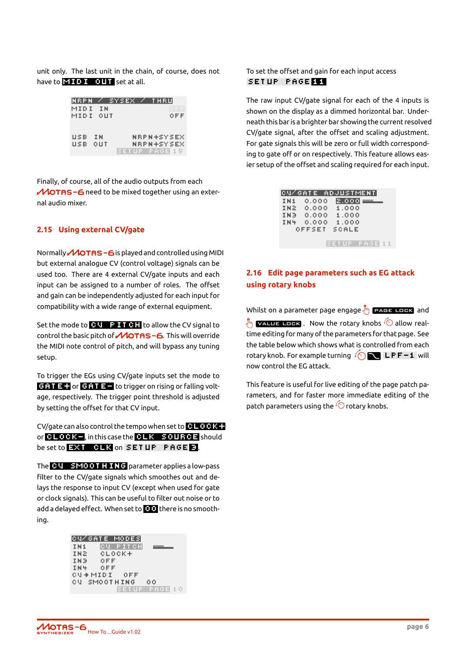unit only. The last unit in the chain, of course, does not have to  $\mathbf{E}$  if  $\mathbf{U}$  if  $\mathbf{U}$  if  $\mathbf{U}$  set at all.

| INRPN |     | Z SYSEX. | THRU         |
|-------|-----|----------|--------------|
| MIDI  | ΙN  |          |              |
| MIDI  | OUT |          | OFF          |
|       |     |          |              |
|       |     |          |              |
| USB   | I N |          | NRPN+SYSEX   |
| USB   | OUT |          | NRPN+SYSEX   |
|       |     |          | ETUP PAGELL5 |

Finally, of course, all of the audio outputs from each  $M$ OTAS - 6 need to be mixed together using an external audio mixer.

#### <span id="page-8-0"></span>**2.15 Using external CV/gate**

Normally **MOTAS-6** is played and controlled using MIDI but external analogue CV (control voltage) signals can be used too. There are 4 external CV/gate inputs and each input can be assigned to a number of roles. The offset and gain can be independently adjusted for each input for compatibility with a wide range of external equipment.

Set the mode to  $\begin{array}{|c|c|c|c|}\n\hline\n\textbf{G} & \textbf{F} & \textbf{G} & \textbf{H} & \textbf{H} & \textbf{H} & \textbf{H} & \textbf{H} & \textbf{H} & \textbf{H} & \textbf{H} & \textbf{H} & \textbf{H} & \textbf{H} & \textbf{H} & \textbf{H} & \textbf{H} & \textbf{H} & \textbf{H} & \textbf{H} & \textbf{H} & \textbf{H} & \textbf{H} & \textbf{H} & \textbf{H} & \textbf{H} & \text$ control the basic pitch of  $\mathcal M$ OTAS -6. This will override the MIDI note control of pitch, and will bypass any tuning setup.

To trigger the EGs using CV/gate inputs set the mode to  $G + I = -$  or  $G + I = -$  to trigger on rising or falling voltage, respectively. The trigger point threshold is adjusted by setting the offset for that CV input.

CV/gate can also control the tempo when set to  $CLEAC + C$ or **CLOCK-**, in this case the CLK SOURCE should be set to **EXT CLX** on SETUP PAGE 3.

The CV SMOOTHING parameter applies a low-pass filter to the CV/gate signals which smoothes out and delays the response to input CV (except when used for gate or clock signals). This can be useful to filter out noise or to add a delayed effect. When set to **000** there is no smoothing.

|      | ICU/GATE MODESI |               |
|------|-----------------|---------------|
| IN1  | CU PITCH        |               |
| INZ. | CLOCK+          |               |
| INB  | OFF             |               |
| IN4  | 0 F F           |               |
|      | CM+MIDI OFF     |               |
|      | CU SMOOTHING    | 0.O           |
|      |                 | SETUP PAGE 10 |

To set the offset and gain for each input access setup page 11

The raw input CV/gate signal for each of the 4 inputs is shown on the display as a dimmed horizontal bar. Underneath this bar is a brighter bar showing the current resolved CV/gate signal, after the offset and scaling adjustment. For gate signals this will be zero or full width corresponding to gate off or on respectively. This feature allows easier setup of the offset and scaling required for each input.

| CU⁄GATE ADJUSTMENT |  |        |  |       |  |             |       |  |  |  |  |  |
|--------------------|--|--------|--|-------|--|-------------|-------|--|--|--|--|--|
| IN1                |  |        |  | 0.000 |  |             | 2.000 |  |  |  |  |  |
| IN2                |  |        |  | 0.000 |  |             | 1.000 |  |  |  |  |  |
| IN <sub>3</sub>    |  |        |  | 0.000 |  |             | 1.000 |  |  |  |  |  |
| IN4                |  |        |  | 0.000 |  |             | 1.000 |  |  |  |  |  |
|                    |  | OFFSET |  |       |  | SCALE       |       |  |  |  |  |  |
|                    |  |        |  |       |  |             |       |  |  |  |  |  |
|                    |  |        |  |       |  | 3 E T L P . |       |  |  |  |  |  |

#### <span id="page-8-1"></span>**2.16 Edit page parameters such as EG attack using rotary knobs**

Whilst on a parameter page engage  $\sqrt[8]{\ }$  **page Lock** and  $\sqrt[8]{\frac{1}{2}}$  value lock . Now the rotary knobs  $\sqrt[4]{\circ}$  allow realtime editing for many of the parameters for that page. See the table below which shows what is controlled from each rotary knob. For example turning  $\sqrt{\langle}$  LPF-1 will now control the EG attack.

This feature is useful for live editing of the page patch parameters, and for faster more immediate editing of the patch parameters using the  $\overline{\text{}}\odot$  rotary knobs.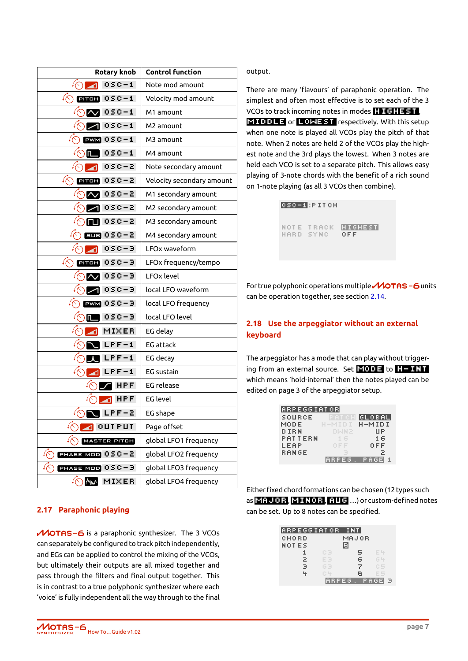| <b>Rotary knob</b>                | <b>Control function</b>   |
|-----------------------------------|---------------------------|
| 0SC-1                             | Note mod amount           |
| $0 S C - 1$<br>PITCH              | Velocity mod amount       |
| $0 S C - 1$                       | M1 amount                 |
| $0 S C - 1$                       | M2 amount                 |
| $0 S C - 1$<br><b>PWM</b>         | M3 amount                 |
| $0 S C - 1$<br>π_                 | M4 amount                 |
| osc-2                             | Note secondary amount     |
| osc-2<br><b>PITCH</b>             | Velocity secondary amount |
| 0SC-2                             | M1 secondary amount       |
| 0SC-2.                            | M2 secondary amount       |
| 0SC-2                             | M3 secondary amount       |
| 050-2<br>sus l                    | M4 secondary amount       |
| 0SC-9                             | LFOx waveform             |
| $\sqrt{\zeta}$<br>0SC-9.<br>PITCH | LFOx frequency/tempo      |
| osc-a                             | LFOx level                |
| 0SC-9                             | local LFO waveform        |
| $0 S C - 3$<br><b>PWM</b>         | local LFO frequency       |
| 0SC-9<br>Π                        | local LFO level           |
| <b>MIXER</b>                      | EG delay                  |
| LPF-1                             | <b>EG</b> attack          |
| $LPF-1$                           | EG decay                  |
| .PF-1                             | EG sustain                |
| HPF.                              | <b>EG</b> release         |
| HPF.                              | EG level                  |
| $LPF-2$                           | EG shape                  |
| <b>OUTPUT</b>                     | Page offset               |
| MASTER PITCH                      | global LFO1 frequency     |
| PHASE MOD $050-2$                 | global LFO2 frequency     |
| PHASE MOD 0SC-3                   | global LFO3 frequency     |
| <b>MW</b><br><b>MIXER</b>         | global LFO4 frequency     |

output.

There are many 'flavours' of paraphonic operation. The simplest and often most effective is to set each of the 3 VCOs to track incoming notes in modes  $\mathbf{H}$  of  $\mathbf{H} = \mathbf{S} \mathbf{T}$  , **EMODLE or LOWEST** respectively. With this setup when one note is played all VCOs play the pitch of that note. When 2 notes are held 2 of the VCOs play the highest note and the 3rd plays the lowest. When 3 notes are held each VCO is set to a separate pitch. This allows easy playing of 3-note chords with the benefit of a rich sound on 1-note playing (as all 3 VCOs then combine).

> 050-1:PITCH NOTE TRACK **Highest** HARD SYNC OFF

For true polyphonic operations multiple  $\mathcal M$ OTAS -6 units can be operation together, see section 2.14.

#### **2.18 Use the arpeggiator without an external keyboard**

The arpeggiator has a mode that can play without triggering from an external source. Set  $\blacksquare$  into  $\blacksquare$  to  $\blacksquare$   $\blacksquare$ which means 'hold-internal' then the notes played can be edited on page 3 of the arpeggiator setup.

| <u>iarpeggiator</u> |        |             |
|---------------------|--------|-------------|
| SOURCE              | PATCH  | GLOBAL      |
| MODE                | H-MIDI | H-MIDI      |
| DIRN                | DIAN 2 | ЦP          |
| PATTERN             | 16     | 16          |
| LEAP                | OEE    | 0 F F       |
| RANGE               |        | 2.          |
|                     | ARPEG. | <b>PAGE</b> |

Either fixed chord formations can be chosen (12 types such as **MF JOR, MINOR, AUG** ...) or custom-defined notes can be set. Up to 8 notes can be specified.

| ARPEGGIATOR |        | <b>INT</b> |      |  |
|-------------|--------|------------|------|--|
| CHORD       |        | MAJOR      |      |  |
| NOTES       |        | a          |      |  |
|             | cэ     | 5          | c u  |  |
| z           | 5      | 6          | 信导   |  |
| Э           | GЭ     | Z          | C5   |  |
|             | 食品     | в          |      |  |
|             | ARPEG. |            | PAG. |  |

ľ

#### **2.17 Paraphonic playing**

<span id="page-9-0"></span>MOTAS-6 is a paraphonic synthesizer. The 3 VCOs can separately be configured to track pitch independently, and EGs can be applied to control the mixing of the VCOs, but ultimately their outputs are all mixed together and pass through the filters and final output together. This is in contrast to a true polyphonic synthesizer where each 'voice' is fully independent all the way through to the final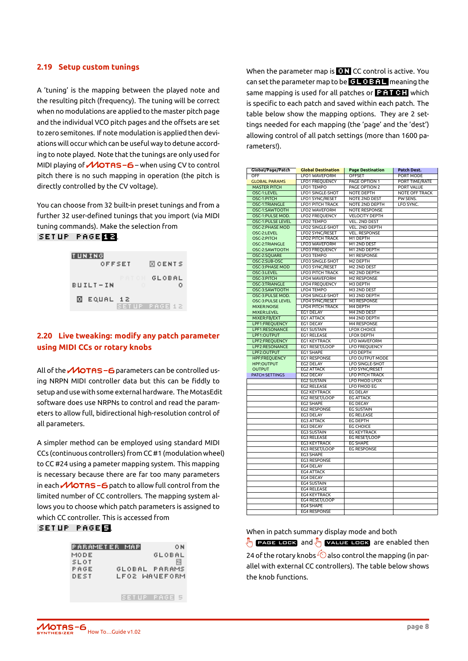#### <span id="page-10-0"></span>**2.19 Setup custom tunings**

A 'tuning' is the mapping between the played note and the resulting pitch (frequency). The tuning will be correct when no modulations are applied to the master pitch page and the individual VCO pitch pages and the offsets are set to zero semitones. If note modulation is applied then deviations will occur which can be useful way to detune according to note played. Note that the tunings are only used for MIDI playing of  $\mathcal M$ OTAS –  $6$  – when using CV to control pitch there is no such mapping in operation (the pitch is directly controlled by the CV voltage).

You can choose from 32 built-in preset tunings and from a further 32 user-defined tunings that you import (via MIDI tuning commands). Make the selection from SETUP PAGE 12.



#### <span id="page-10-1"></span>**2.20 Live tweaking: modify any patch parameter using MIDI CCs or rotary knobs**

All of the  $\mathcal M$ OTAS - 6 parameters can be controlled using NRPN MIDI controller data but this can be fiddly to setup and use with some external hardware. The MotasEdit software does use NRPNs to control and read the parameters to allow full, bidirectional high-resolution control of all parameters.

A simpler method can be employed using standard MIDI CCs (continuous controllers) from CC #1 (modulation wheel) to CC #24 using a pameter mapping system. This mapping is necessary because there are far too many parameters in each  $\mathcal M$ OTAS – 6 patch to allow full control from the limited number of CC controllers. The mapping system allows you to choose which patch parameters is assigned to which CC controller. This is accessed from

| SETUP |  |  |  |  | PAGE <b>EL</b> |  |
|-------|--|--|--|--|----------------|--|
|       |  |  |  |  |                |  |

| PARAMETER MAPI |               | 0 N |
|----------------|---------------|-----|
| MODE           | GLOBAL        |     |
| SLOT           |               | 囘   |
| PAGE           | GLOBAL PARAMS |     |
| DEST           | LFO2 WANEFORM |     |
|                |               |     |
|                |               |     |
|                | CETHD DAGEL   |     |

When the parameter map is  $\blacksquare\blacksquare\blacksquare$  CC control is active. You can set the parameter map to be  $\overline{G}$   $\overline{G}$  and  $\overline{G}$  meaning the same mapping is used for all patches or  $\mathbb{F}$ .  $\mathbb{F}$  which is specific to each patch and saved within each patch. The table below show the mapping options. They are 2 settings needed for each mapping (the 'page' and the 'dest') allowing control of all patch settings (more than 1600 parameters!).

| Global/Page/Patch        | <b>Global Destination</b> | <b>Page Destination</b> | Patch Dest.           |  |  |
|--------------------------|---------------------------|-------------------------|-----------------------|--|--|
| OFF                      | LFO1 WAVEFORM             | <b>OFFSET</b>           | PORT MODE             |  |  |
| <b>GLOBAL PARAMS</b>     | <b>LFO1 FREQUENCY</b>     | PAGE OPTION 1           | PORT TIME/RATE        |  |  |
| <b>MASTER PITCH</b>      | LFO1 TEMPO                | PAGE OPTION 2           | <b>PORT VALUE</b>     |  |  |
| OSC-1:LEVEL              | <b>LFO1 SINGLE-SHOT</b>   | <b>NOTE DEPTH</b>       | <b>NOTE OFF TRACK</b> |  |  |
| OSC-1:PITCH              | LFO1 SYNC/RESET           | <b>NOTE 2ND DEST</b>    | PW SENS.              |  |  |
| <b>OSC-1:TRIANGLE</b>    | <b>LFO1 PITCH TRACK</b>   | <b>NOTE 2ND DEPTH</b>   | LFO SYNC.             |  |  |
| OSC-1:SAWTOOTH           | LFO2 WAVEFORM             | <b>NOTE RESPONSE</b>    |                       |  |  |
| OSC-1:PULSE MOD.         | <b>LFO2 FREQUENCY</b>     | <b>VELOCITY DEPTH</b>   |                       |  |  |
| <b>OSC-1:PULSE LEVEL</b> | <b>LFO2 TEMPO</b>         | <b>VEL. 2ND DEST</b>    |                       |  |  |
| OSC-2:PHASE MOD          | <b>LFO2 SINGLE-SHOT</b>   | <b>VEL. 2ND DEPTH</b>   |                       |  |  |
| OSC-2:LEVEL              | LFO2 SYNC/RESET           | <b>VEL. RESPONSE</b>    |                       |  |  |
| OSC-2:PITCH              | <b>LFO2 PITCH TRACK</b>   | M1 DEPTH                |                       |  |  |
| OSC-2:TRIANGLE           | LFO3 WAVEFORM             | M1 2ND DEST             |                       |  |  |
| OSC-2:SAWTOOTH           | <b>LFO3 FREQUENCY</b>     | M1 2ND DEPTH            |                       |  |  |
| OSC-2:SQUARE             | LFO3 TEMPO                | M1 RESPONSE             |                       |  |  |
| OSC-2:SUB-OSC            | <b>LFO3 SINGLE-SHOT</b>   | M2 DEPTH                |                       |  |  |
| OSC-3:PHASE MOD          | LFO3 SYNC/RESET           | M2 2ND DEST             |                       |  |  |
| OSC-3:LEVEL              | <b>LFO3 PITCH TRACK</b>   | M2 2ND DEPTH            |                       |  |  |
| OSC-3:PITCH              | <b>LFO4 WAVEFORM</b>      | <b>M2 RESPONSE</b>      |                       |  |  |
| OSC-3:TRIANGLE           | <b>LFO4 FREQUENCY</b>     | M3 DEPTH                |                       |  |  |
| OSC-3:SAWTOOTH           | <b>LFO4 TEMPO</b>         | M3 2ND DEST             |                       |  |  |
| OSC-3:PULSE MOD.         | <b>LFO4 SINGLE-SHOT</b>   | M3 2ND DEPTH            |                       |  |  |
| OSC-3:PULSE LEVEL        | LFO4 SYNC/RESET           | <b>M3 RESPONSE</b>      |                       |  |  |
| <b>MIXER:NOISE</b>       | <b>LFO4 PITCH TRACK</b>   | M4 DEPTH                |                       |  |  |
| <b>MIXER:LEVEL</b>       | EG1 DELAY                 | M4 2ND DEST             |                       |  |  |
| MIXER:FB/EXT             | <b>EG1 ATTACK</b>         | M4 2ND DEPTH            |                       |  |  |
| LPF1:FREQUENCY           | EG1 DECAY                 | M4 RESPONSE             |                       |  |  |
| LPF1:RESONANCE           | EG1 SUSTAIN               | <b>LFOX CHOICE</b>      |                       |  |  |
| LPF1:OUTPUT              | <b>EG1 RELEASE</b>        | <b>LFOX DEPTH</b>       |                       |  |  |
| LPF2:FREQUENCY           | EG1 KEYTRACK              | <b>LFO WAVEFORM</b>     |                       |  |  |
| LPF2:RESONANCE           | EG1 RESET/LOOP            | <b>LFO FREQUENCY</b>    |                       |  |  |
| LPF2:OUTPUT              | EG1 SHAPE                 | <b>LFO DEPTH</b>        |                       |  |  |
| <b>HPF:FREOUENCY</b>     | <b>EG1 RESPONSE</b>       | LFO OUTPUT MODE         |                       |  |  |
| <b>HPF:OUTPUT</b>        | <b>EG2 DELAY</b>          | <b>LFO SINGLE-SHOT</b>  |                       |  |  |
| <b>OUTPUT</b>            | <b>EG2 ATTACK</b>         | <b>LFO SYNC/RESET</b>   |                       |  |  |
| PATCH SETTINGS           | EG2 DECAY                 | <b>LFO PITCH TRACK</b>  |                       |  |  |
|                          | <b>EG2 SUSTAIN</b>        | <b>LFO FMOD LFOX</b>    |                       |  |  |
|                          | <b>EG2 RELEASE</b>        | LFO FMOD EG             |                       |  |  |
|                          | <b>EG2 KEYTRACK</b>       | <b>EG DELAY</b>         |                       |  |  |
|                          | EG2 RESET/LOOP            | <b>EG ATTACK</b>        |                       |  |  |
|                          | EG2 SHAPE                 | <b>EG DECAY</b>         |                       |  |  |
|                          | <b>EG2 RESPONSE</b>       | <b>EG SUSTAIN</b>       |                       |  |  |
|                          | EG3 DELAY                 | <b>EG RELEASE</b>       |                       |  |  |
|                          | <b>EG3 ATTACK</b>         | <b>EG DEPTH</b>         |                       |  |  |
|                          | EG3 DECAY                 | <b>EG CHOICE</b>        |                       |  |  |
|                          | <b>EG3 SUSTAIN</b>        | <b>EG KEYTRACK</b>      |                       |  |  |
|                          | <b>EG3 RELEASE</b>        | EG RESET/LOOP           |                       |  |  |
|                          | <b>EG3 KEYTRACK</b>       | <b>EG SHAPE</b>         |                       |  |  |
|                          | EG3 RESET/LOOP            | <b>EG RESPONSE</b>      |                       |  |  |
|                          | EG3 SHAPE                 |                         |                       |  |  |
|                          | <b>EG3 RESPONSE</b>       |                         |                       |  |  |
|                          | EG4 DELAY                 |                         |                       |  |  |
|                          | <b>EG4 ATTACK</b>         |                         |                       |  |  |
|                          | EG4 DECAY                 |                         |                       |  |  |
|                          | <b>EG4 SUSTAIN</b>        |                         |                       |  |  |
|                          | <b>EG4 RELEASE</b>        |                         |                       |  |  |
|                          | <b>EG4 KEYTRACK</b>       |                         |                       |  |  |
|                          | EG4 RESET/LOOP            |                         |                       |  |  |
|                          | EG4 SHAPE                 |                         |                       |  |  |
|                          | <b>EG4 RESPONSE</b>       |                         |                       |  |  |
|                          |                           |                         |                       |  |  |

When in patch summary display mode and both

 $\sqrt[8]{m}$  **PAGE LOCK** and  $\sqrt[8]{m}$  **VALUE LOCK** are enabled then 24 of the rotary knobs  $\bigcirc$  also control the mapping (in parallel with external CC controllers). The table below shows the knob functions.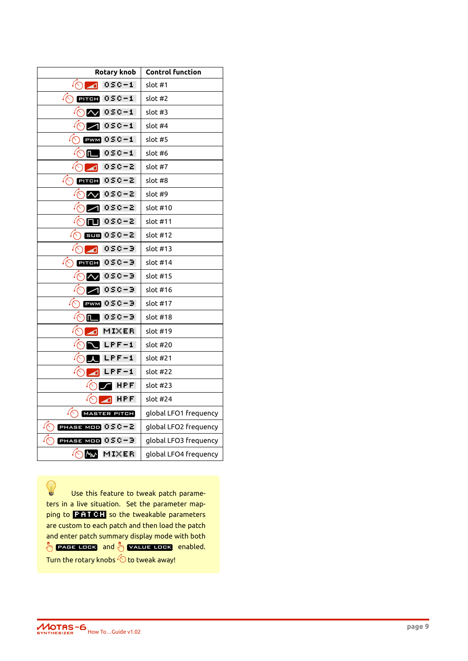| <b>Rotary knob</b>          | <b>Control function</b> |
|-----------------------------|-------------------------|
| osc-i<br>⊿                  | slot #1                 |
| <b>omen</b> 0SC-1           | slot #2                 |
| 0SC-1.                      | slot #3                 |
| $0 S C - 1$                 | slot #4                 |
| $PWM$ $050 - 1$             | slot #5                 |
| $0 S C - 1$<br>$\mathsf{n}$ | slot #6                 |
| 0SC-2<br>ิศ                 | slot #7                 |
| √ζ<br>0SC-2<br><b>PITCH</b> | slot #8                 |
| 0SC-2<br>$\overline{\sim}$  | slot #9                 |
| osc–2                       | slot #10                |
| 0SC-2<br>гш                 | slot #11                |
| 6009 0 S C – 21             | slot #12                |
| 050-9.<br>⊿                 | slot #13                |
| 050-9<br>PITCH              | slot #14                |
| 0SC-9.<br>$\sim$            | slot #15                |
| 050-9.                      | slot #16                |
| $PWM$ $0SC-3$               | slot #17                |
| OSC-3<br>Œ                  | slot #18                |
| MIXER<br>◢                  | slot #19                |
| $LPF-1$                     | slot #20                |
| $LPF-1$                     | slot #21                |
| $\blacksquare$ LPF-1        | slot #22                |
| HPF.                        | slot #23                |
| HPF                         | slot #24                |
| MASTER PITCH                | global LFO1 frequency   |
| PHASE MOD $050-2$           | global LFO2 frequency   |
| PHASE MOD 0SC-3             | global LFO3 frequency   |
| <b>My</b><br>MIXER          | global LFO4 frequency   |

0 Use this feature to tweak patch parameters in a live situation. Set the parameter mapping to **PATCH** so the tweakable parameters are custom to each patch and then load the patch and enter patch summary display mode with both  $\sqrt[8]{m}$  **PAGE LOCK** and  $\sqrt[8]{m}$  **VALUE LOCK** enabled. Turn the rotary knobs  $\tilde{\text{\textcircled{\small{-}}}$  to tweak away!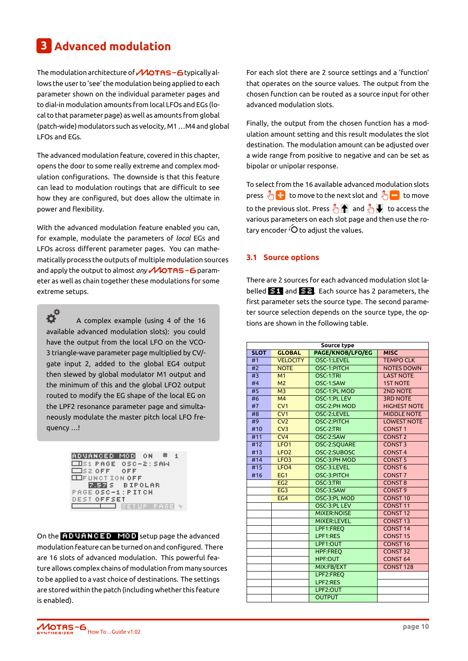## **3 Advanced modulation**

<span id="page-12-0"></span>The modulation architecture of  $\mathcal M$ OTAS-6 typically allows the user to 'see' the modulation being applied to each parameter shown on the individual parameter pages and to dial-in modulation amounts from local LFOs and EGs (local to that parameter page) as well as amounts from global (patch-wide) modulators such as velocity, M1…M4 and global LFOs and EGs.

The advanced modulation feature, covered in this chapter, opens the door to some really extreme and complex modulation configurations. The downside is that this feature can lead to modulation routings that are difficult to see how they are configured, but does allow the ultimate in power and flexibility.

With the advanced modulation feature enabled you can, for example, modulate the parameters of *local* EGs and LFOs across different parameter pages. You can mathematically process the outputs of multiple modulation sources and apply the output to almost *any* **MOTAS -6** parameter as well as chain together these modulations for some extreme setups.

 $\boldsymbol{\dot{\alpha}}^{\dot{\alpha}}$ A complex example (using 4 of the 16 available advanced modulation slots): you could have the output from the local LFO on the VCO-3 triangle-wave parameter page multiplied by CV/ gate input 2, added to the global EG4 output then slewed by global modulator M1 output and the minimum of this and the global LFO2 output routed to modify the EG shape of the local EG on the LPF2 resonance parameter page and simultaneously modulate the master pitch local LFO frequency …!

> **ADVANCED MOD** ON # 1  $\Box$ S1 PAGE 0SC-2: SAW ISZ OFF. OFF **EXPLACT ION OFF Z.57 S BIPOLAR** PAGE OSC-1 : PITCH DEST OFFSET **3 SETUP PAGE 4**

On the **ADVANCED MOD** setup page the advanced modulation feature can be turned on and configured. There are 16 slots of advanced modulation. This powerful feature allows complex chains of modulation from many sources to be applied to a vast choice of destinations. The settings are stored within the patch (including whether this feature is enabled).

For each slot there are 2 source settings and a 'function' that operates on the source values. The output from the chosen function can be routed as a source input for other advanced modulation slots.

Finally, the output from the chosen function has a modulation amount setting and this result modulates the slot destination. The modulation amount can be adjusted over a wide range from positive to negative and can be set as bipolar or unipolar response.

To select from the 16 available advanced modulation slots press  $\sqrt[8]{\cdot}$  to move to the next slot and  $\sqrt[8]{\cdot}$  to move to the previous slot. Press  $\sqrt[8]{\mathbf{m}}$  and  $\sqrt[8]{\mathbf{m}}$  to access the various parameters on each slot page and then use the rotary encoder  $\overline{O}$  to adjust the values.

#### **3.1 Source options**

There are 2 sources for each advanced modulation slot labelled **F1** and F<sub>1</sub> and E<sub>1</sub> Each source has 2 parameters, the first parameter sets the source type. The second parameter source selection depends on the source type, the options are shown in the following table.

| Source type |                  |                    |                     |  |  |
|-------------|------------------|--------------------|---------------------|--|--|
| <b>SLOT</b> | <b>GLOBAL</b>    | PAGE/KNOB/LFO/EG   | <b>MISC</b>         |  |  |
| #1          | <b>VELOCITY</b>  | OSC-1:LEVEL        | <b>TEMPO CLK</b>    |  |  |
| #2          | <b>NOTE</b>      | OSC-1:PITCH        | <b>NOTES DOWN</b>   |  |  |
| #3          | M1               | OSC-1:TRI          | <b>LAST NOTE</b>    |  |  |
| #4          | M <sub>2</sub>   | OSC-1:SAW          | <b>1ST NOTE</b>     |  |  |
| #5          | M <sub>3</sub>   | OSC-1:PL MOD       | <b>2ND NOTE</b>     |  |  |
| #6          | M <sub>4</sub>   | OSC-1:PL LEV       | <b>3RD NOTE</b>     |  |  |
| #7          | CV1              | OSC-2:PH MOD       | <b>HIGHEST NOTE</b> |  |  |
| #8          | CV <sub>1</sub>  | OSC-2:LEVEL        | <b>MIDDLE NOTE</b>  |  |  |
| #9          | CV <sub>2</sub>  | OSC-2:PITCH        | <b>LOWEST NOTE</b>  |  |  |
| #10         | CV3              | OSC-2:TRI          | <b>CONST1</b>       |  |  |
| #11         | CV <sub>4</sub>  | OSC-2:SAW          | <b>CONST 2</b>      |  |  |
| #12         | LFO <sub>1</sub> | OSC-2:SQUARE       | <b>CONST 3</b>      |  |  |
| #13         | LFO <sub>2</sub> | OSC-2:SUBOSC       | <b>CONST4</b>       |  |  |
| #14         | LFO <sub>3</sub> | OSC-3:PH MOD       | <b>CONST 5</b>      |  |  |
| #15         | LFO <sub>4</sub> | OSC-3:LEVEL        | <b>CONST 6</b>      |  |  |
| #16         | EG1              | OSC-3:PITCH        | <b>CONST7</b>       |  |  |
|             | EG <sub>2</sub>  | OSC-3:TRI          | <b>CONST 8</b>      |  |  |
|             | EG <sub>3</sub>  | OSC-3:SAW          | <b>CONST 9</b>      |  |  |
|             | EG4              | OSC-3:PL MOD       | <b>CONST10</b>      |  |  |
|             |                  | OSC-3:PL LEV       | <b>CONST11</b>      |  |  |
|             |                  | <b>MIXER:NOISE</b> | <b>CONST 12</b>     |  |  |
|             |                  | <b>MIXER:LEVEL</b> | <b>CONST 13</b>     |  |  |
|             |                  | LPF1:FREO          | <b>CONST 14</b>     |  |  |
|             |                  | LPF1:RES           | <b>CONST 15</b>     |  |  |
|             |                  | LPF1:OUT           | <b>CONST 16</b>     |  |  |
|             |                  | <b>HPF:FREO</b>    | <b>CONST 32</b>     |  |  |
|             |                  | <b>HPF:OUT</b>     | <b>CONST 64</b>     |  |  |
|             |                  | MIX:FB/EXT         | <b>CONST 128</b>    |  |  |
|             |                  | LPF2:FREO          |                     |  |  |
|             |                  | LPF2:RES           |                     |  |  |
|             |                  | LPF2:OUT           |                     |  |  |
|             |                  | <b>OUTPUT</b>      |                     |  |  |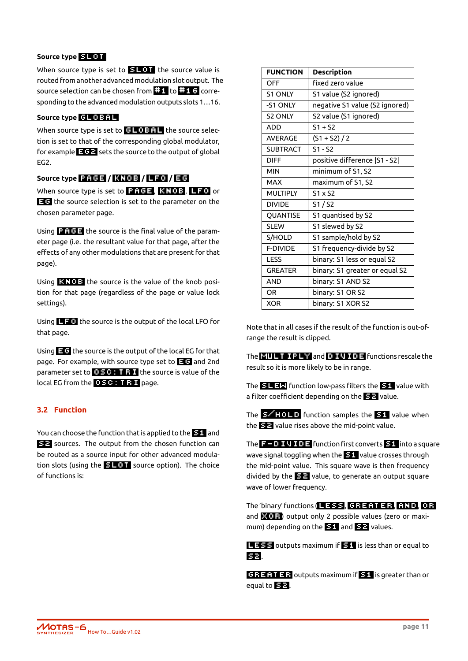#### **Source type slot**

When source type is set to  $\mathbf{H}$  TMT the source value is routed from another advanced modulation slot output. The source selection can be chosen from  $\mathbb{H}$  to  $\mathbb{H}$  to  $\mathbb{H}$  G corresponding to the advanced modulation outputs slots 1…16.

#### **Source type** GLOBAL

When source type is set to  $G$   $G$   $G$  the source selection is set to that of the corresponding global modulator, for example  $\sqrt{2}$  sets the source to the output of global EG2.

#### **Source type PRGE** / **RNOB** / **LFO** / **EG**

When source type is set to **PREE**, **KNOB**, **LFO** or **EG** the source selection is set to the parameter on the chosen parameter page.

Using  $\mathbf{P}$  **HGE** the source is the final value of the parameter page (i.e. the resultant value for that page, after the effects of any other modulations that are present for that page).

Using **KNOB** the source is the value of the knob position for that page (regardless of the page or value lock settings).

Using  $\Box$  the source is the output of the local LFO for that page.

Using  $\blacksquare$  the source is the output of the local EG for that page. For example, with source type set to  $\Box$  and 2nd parameter set to  $\Box$  **EC:** T **F**  $\Box$  the source is value of the local EG from the **OSC: TRI** page.

#### **3.2 Function**

You can choose the function that is applied to the **E1** and s2 sources. The output from the chosen function can be routed as a source input for other advanced modulation slots (using the  $\mathbf{S} \mathbf{L} \mathbf{0} \mathbf{T}$  source option). The choice of functions is:

| <b>FUNCTION</b> | <b>Description</b>             |
|-----------------|--------------------------------|
| OFF             | fixed zero value               |
| <b>S1 ONLY</b>  | S1 value (S2 ignored)          |
| -S1 ONLY        | negative S1 value (S2 ignored) |
| <b>S2 ONLY</b>  | S2 value (S1 ignored)          |
| <b>ADD</b>      | $S1 + S2$                      |
| <b>AVERAGE</b>  | $(S1 + S2)/2$                  |
| <b>SUBTRACT</b> | $S1 - S2$                      |
| <b>DIFF</b>     | positive difference [S1 - S2]  |
| <b>MIN</b>      | minimum of S1, S2              |
| <b>MAX</b>      | maximum of S1, S2              |
| <b>MULTIPLY</b> | $S1 \times S2$                 |
| <b>DIVIDE</b>   | S1/S2                          |
| QUANTISE        | S1 quantised by S2             |
| SI FW           | S1 slewed by S2                |
| S/HOLD          | S1 sample/hold by S2           |
| <b>F-DIVIDE</b> | S1 frequency-divide by S2      |
| <b>LESS</b>     | binary: S1 less or equal S2    |
| <b>GREATER</b>  | binary: S1 greater or equal S2 |
| <b>AND</b>      | binary: S1 AND S2              |
| <b>OR</b>       | binary: S1 OR S2               |
| <b>XOR</b>      | binary: S1 XOR S2              |

Note that in all cases if the result of the function is out-ofrange the result is clipped.

The **MULTIPLY** and **DIVIDE** functions rescale the result so it is more likely to be in range.

The  $\frac{1}{2}$   $\frac{1}{2}$  function low-pass filters the  $\frac{1}{2}$  value with a filter coefficient depending on the **22** value.

The  $\leq$  **HOLD** function samples the  $\leq$ 1 value when the **s22** value rises above the mid-point value.

The  $\overline{1}$   $\overline{1}$   $\overline{1}$   $\overline{1}$   $\overline{1}$  function first converts  $\overline{21}$  into a square wave signal toggling when the **S1** value crosses through the mid-point value. This square wave is then frequency divided by the **see** value, to generate an output square wave of lower frequency.

The 'binary' functions ( $\Box$  333, GREATER, GRIO, OR and  $\mathbb{Z}$   $(12)$  output only 2 possible values (zero or maximum) depending on the **151** and **212** values.

**LESS** outputs maximum if **S1** is less than or equal to s2 .

**GREATER** outputs maximum if **B1** is greater than or equal to  $\mathbf{E}$ .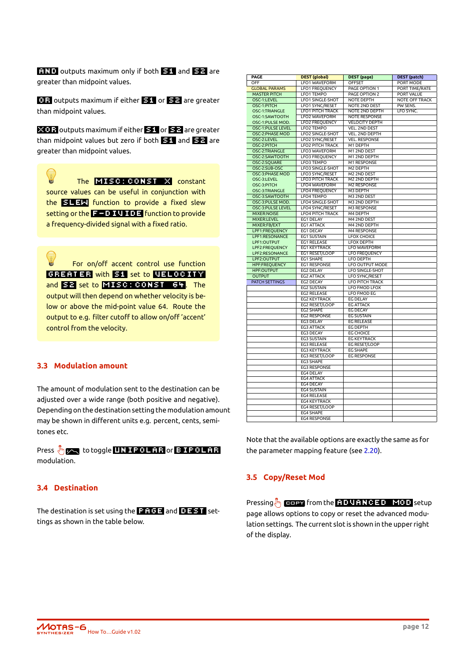**RIND** outputs maximum only if both **21** and **22** are greater than midpoint values.

**0.3** outputs maximum if either **31** or **32** are greater than midpoint values.

**xOI3** outputs maximum if either **31** or **32** are greater than midpoint values but zero if both  $\mathbf{S}1$  and  $\mathbf{S}2$  are greater than midpoint values.

The MISC: CONST X constant source values can be useful in conjunction with the **sleep** function to provide a fixed slew setting or the  $F - D I U I D F$  function to provide a frequency-divided signal with a fixed ratio.

For on/off accent control use function GREATER with S1 set to VELOCITY and S2 set to MISC: CONST 64. The output will then depend on whether velocity is below or above the mid-point value 64. Route the output to e.g. filter cutoff to allow on/off 'accent' control from the velocity.

#### **3.3 Modulation amount**

<span id="page-14-0"></span>The amount of modulation sent to the destination can be adjusted over a wide range (both positive and negative). Depending on the destination setting the modulation amount may be shown in different units e.g. percent, cents, semitones etc.

Press  $\sqrt[4]{\mathbb{R}}$  to toggle UNIPOLAR or BIPOLAR modulation.

#### **3.4 Destination**

The destination is set using the **part of a** and  $\blacksquare$  and  $\blacksquare$  settings as shown in the table below.

| PAGE                     | <b>DEST</b> (global)    | <b>DEST</b> (page)     | <b>DEST</b> (patch)   |
|--------------------------|-------------------------|------------------------|-----------------------|
| OFF                      | LFO1 WAVEFORM           | <b>OFFSET</b>          | <b>PORT MODE</b>      |
| <b>GLOBAL PARAMS</b>     | <b>LFO1 FREQUENCY</b>   | PAGE OPTION 1          | PORT TIME/RATE        |
| <b>MASTER PITCH</b>      | LFO1 TEMPO              | PAGE OPTION 2          | <b>PORT VALUE</b>     |
| OSC-1:LEVEL              | <b>LFO1 SINGLE-SHOT</b> | <b>NOTE DEPTH</b>      | <b>NOTE OFF TRACK</b> |
| OSC-1:PITCH              | LFO1 SYNC/RESET         | <b>NOTE 2ND DEST</b>   | PW SENS.              |
| OSC-1:TRIANGLE           | <b>LFO1 PITCH TRACK</b> | NOTE 2ND DEPTH         | LFO SYNC.             |
| OSC-1:SAWTOOTH           | <b>LFO2 WAVEFORM</b>    | <b>NOTE RESPONSE</b>   |                       |
| OSC-1:PULSE MOD.         | <b>LFO2 FREQUENCY</b>   | <b>VELOCITY DEPTH</b>  |                       |
| OSC-1:PULSE LEVEL        | LFO2 TEMPO              | <b>VEL. 2ND DEST</b>   |                       |
| OSC-2:PHASE MOD          | LFO2 SINGLE-SHOT        | <b>VEL. 2ND DEPTH</b>  |                       |
| OSC-2:LEVEL              | LFO2 SYNC/RESET         | <b>VEL. RESPONSE</b>   |                       |
| OSC-2:PITCH              | <b>LFO2 PITCH TRACK</b> | M1 DEPTH               |                       |
| OSC-2:TRIANGLE           | LFO3 WAVEFORM           | M1 2ND DEST            |                       |
| OSC-2:SAWTOOTH           | LFO3 FREQUENCY          | M1 2ND DEPTH           |                       |
| OSC-2:SQUARE             | <b>LFO3 TEMPO</b>       | <b>M1 RESPONSE</b>     |                       |
| OSC-2:SUB-OSC            | <b>LFO3 SINGLE-SHOT</b> | M2 DEPTH               |                       |
| OSC-3:PHASE MOD          | LFO3 SYNC/RESET         | M2 2ND DEST            |                       |
| OSC-3:LEVEL              | <b>LFO3 PITCH TRACK</b> | M2 2ND DEPTH           |                       |
| OSC-3:PITCH              | <b>LFO4 WAVEFORM</b>    | <b>M2 RESPONSE</b>     |                       |
| OSC-3:TRIANGLE           | <b>LFO4 FREQUENCY</b>   | M3 DEPTH               |                       |
| OSC-3:SAWTOOTH           | LFO4 TEMPO              | M3 2ND DEST            |                       |
| OSC-3:PULSE MOD.         | LFO4 SINGLE-SHOT        | M3 2ND DEPTH           |                       |
| <b>OSC-3:PULSE LEVEL</b> | LFO4 SYNC/RESET         | <b>M3 RESPONSE</b>     |                       |
| <b>MIXER:NOISE</b>       | <b>LFO4 PITCH TRACK</b> | M4 DEPTH               |                       |
| MIXER:LEVEL              | EG1 DELAY               | M4 2ND DEST            |                       |
| MIXER:FB/EXT             | EG1 ATTACK              | M4 2ND DEPTH           |                       |
| LPF1:FREQUENCY           | EG1 DECAY               | M4 RESPONSE            |                       |
| LPF1:RESONANCE           | <b>EG1 SUSTAIN</b>      | <b>LFOX CHOICE</b>     |                       |
| LPF1:OUTPUT              | EG1 RELEASE             | <b>LFOX DEPTH</b>      |                       |
| LPF2:FREQUENCY           | EG1 KEYTRACK            | <b>LFO WAVEFORM</b>    |                       |
| LPF2:RESONANCE           | EG1 RESET/LOOP          | <b>LFO FREQUENCY</b>   |                       |
| LPF2:OUTPUT              | EG1 SHAPE               | <b>LFO DEPTH</b>       |                       |
| <b>HPF:FREQUENCY</b>     | EG1 RESPONSE            | LFO OUTPUT MODE        |                       |
| <b>HPF:OUTPUT</b>        | EG2 DELAY               | <b>LFO SINGLE-SHOT</b> |                       |
| <b>OUTPUT</b>            | EG2 ATTACK              | <b>LFO SYNC/RESET</b>  |                       |
| PATCH SETTINGS           | EG2 DECAY               | <b>LFO PITCH TRACK</b> |                       |
|                          | <b>EG2 SUSTAIN</b>      | <b>LFO FMOD LFOX</b>   |                       |
|                          | <b>EG2 RELEASE</b>      | <b>LFO FMOD EG</b>     |                       |
|                          | <b>EG2 KEYTRACK</b>     | <b>EG DELAY</b>        |                       |
|                          | EG2 RESET/LOOP          | <b>EG ATTACK</b>       |                       |
|                          | EG2 SHAPE               | <b>EG DECAY</b>        |                       |
|                          | <b>EG2 RESPONSE</b>     | <b>EG SUSTAIN</b>      |                       |
|                          | EG3 DELAY               | <b>EG RELEASE</b>      |                       |
|                          | EG3 ATTACK              | EG DEPTH               |                       |
|                          | EG3 DECAY               | <b>EG CHOICE</b>       |                       |
|                          | <b>EG3 SUSTAIN</b>      | <b>EG KEYTRACK</b>     |                       |
|                          | <b>EG3 RELEASE</b>      | EG RESET/LOOP          |                       |
|                          | EG3 KEYTRACK            | <b>EG SHAPE</b>        |                       |
|                          | EG3 RESET/LOOP          | <b>EG RESPONSE</b>     |                       |
|                          | EG3 SHAPE               |                        |                       |
|                          | <b>EG3 RESPONSE</b>     |                        |                       |
|                          | EG4 DELAY               |                        |                       |
|                          | <b>EG4 ATTACK</b>       |                        |                       |
|                          | EG4 DECAY               |                        |                       |
|                          | <b>EG4 SUSTAIN</b>      |                        |                       |
|                          | <b>EG4 RELEASE</b>      |                        |                       |
|                          | <b>EG4 KEYTRACK</b>     |                        |                       |
|                          | EG4 RESET/LOOP          |                        |                       |
|                          | <b>EG4 SHAPE</b>        |                        |                       |
|                          | <b>EG4 RESPONSE</b>     |                        |                       |

Note that the available options are exactly the same as for the parameter mapping feature (see 2.20).

#### **3.5 Copy/Reset Mod**

<span id="page-14-1"></span>Pressing $\sqrt[8]{n}$  copy from the **ADVANCED** MOD setup page allows options to copy or reset the advanced modulation settings. The current slot is shown in the upper right of the display.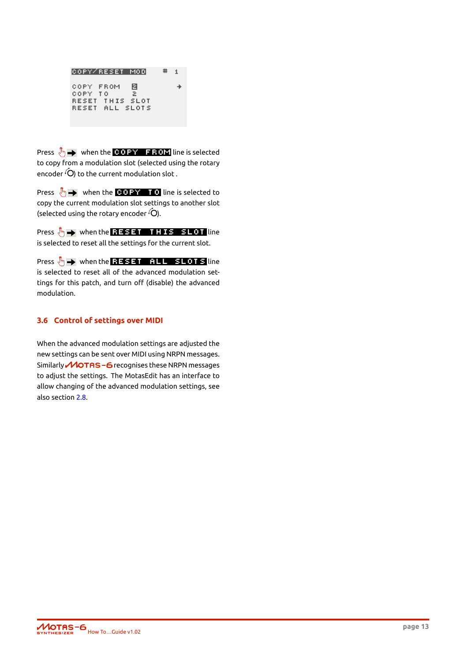```
COPY/RESET MOD
                      #\mathbf{1}COPY FROM
              圖
                         ÷
COPY TO
              \geqRESET THIS SLOT
RESET ALL SLOTS
```
Press  $\sqrt[8]{n}$  when the **COPY FROM** line is selected to copy from a modulation slot (selected using the rotary encoder  $\widehat{O}$  to the current modulation slot.

Press  $\sqrt[4]{\hspace{1pt}}$  when the **COPY TO** line is selected to copy the current modulation slot settings to another slot (selected using the rotary encoder  $\widehat{O}$ ).

Press  $\sqrt[3n]{n}$  when the RESET THIS SLOT line is selected to reset all the settings for the current slot.

Press  $\sqrt[8]{n}$  when the **RESET ALL SLOTS** line is selected to reset all of the advanced modulation settings for this patch, and turn off (disable) the advanced modulation.

#### **3.6 Control of settings over MIDI**

<span id="page-15-0"></span>When the advanced modulation settings are adjusted the new settings can be sent over MIDI using NRPN messages. Similarly **MOTAS-6** recognises these NRPN messages to adjust the settings. The MotasEdit has an interface to allow changing of the advanced modulation settings, see also section 2.8.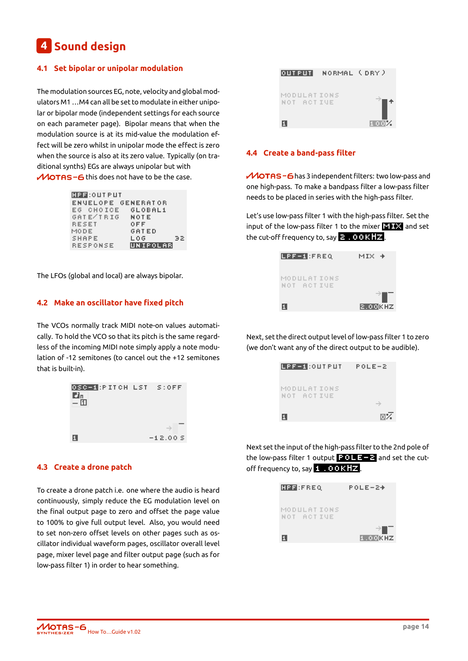## **4 Sound design**

#### <span id="page-16-0"></span>**4.1 Set bipolar or unipolar modulation**

The modulation sources EG, note, velocity and global modulators M1 …M4 can all be set to modulate in either unipolar or bipolar mode (independent settings for each source on each parameter page). Bipolar means that when the modulation source is at its mid-value the modulation effect will be zero whilst in unipolar mode the effect is zero when the source is also at its zero value. Typically (on traditional synths) EGs are always unipolar but with  $M$ OTAS - 6 this does not have to be the case.

|       |       | <b>HPF:OUTPUT</b>         |  |       |              |          |    |
|-------|-------|---------------------------|--|-------|--------------|----------|----|
|       |       | <b>ENVELOPE GENERATOR</b> |  |       |              |          |    |
|       |       | EG CHOICE GLOBAL1         |  |       |              |          |    |
|       |       | GATE/IRIG NOTE            |  |       |              |          |    |
|       | RESET |                           |  | 0 F F |              |          |    |
| MODE. |       |                           |  |       | <b>GATED</b> |          |    |
|       | SHAPE |                           |  | LOG   |              |          | 32 |
|       |       | <b>RESPONSE</b>           |  |       |              | UNIPOLAR |    |
|       |       |                           |  |       |              |          |    |

The LFOs (global and local) are always bipolar.

#### <span id="page-16-1"></span>**4.2 Make an oscillator have fixed pitch**

The VCOs normally track MIDI note-on values automatically. To hold the VCO so that its pitch is the same regardless of the incoming MIDI note simply apply a note modulation of -12 semitones (to cancel out the +12 semitones that is built-in).



#### <span id="page-16-2"></span>**4.3 Create a drone patch**

To create a drone patch i.e. one where the audio is heard continuously, simply reduce the EG modulation level on the final output page to zero and offset the page value to 100% to give full output level. Also, you would need to set non-zero offset levels on other pages such as oscillator individual waveform pages, oscillator overall level page, mixer level page and filter output page (such as for low-pass filter 1) in order to hear something.



#### <span id="page-16-3"></span>**4.4 Create a band-pass filter**

MOTAS-6 has 3 independent filters: two low-pass and one high-pass. To make a bandpass filter a low-pass filter needs to be placed in series with the high-pass filter.

Let's use low-pass filter 1 with the high-pass filter. Set the input of the low-pass filter 1 to the mixer  $\Box$  and set the cut-off frequency to, say  $\geq 0.00$  KHz.

| LPF-1:FREQ                | MIX +   |
|---------------------------|---------|
| MODULATIONS<br>NOT ACTIVE |         |
| П                         | 2.00KHZ |

Next, set the direct output level of low-pass filter 1 to zero (we don't want any of the direct output to be audible).

| LPF-1:OUTPUT -            | POLE-2  |
|---------------------------|---------|
| MODULATIONS<br>NOT ACTIVE |         |
| п                         | ÷<br>网络 |

Next set the input of the high-pass filter to the 2nd pole of the low-pass filter 1 output  $\frac{1}{2}$  and set the cutoff frequency to, say  $1.00kHz$ .

| HPF:FREQ                  | POLE−2+        |
|---------------------------|----------------|
| MODULATIONS<br>NOT ACTIVE |                |
| П                         | ⇒∎⊤<br>1.OOKHZ |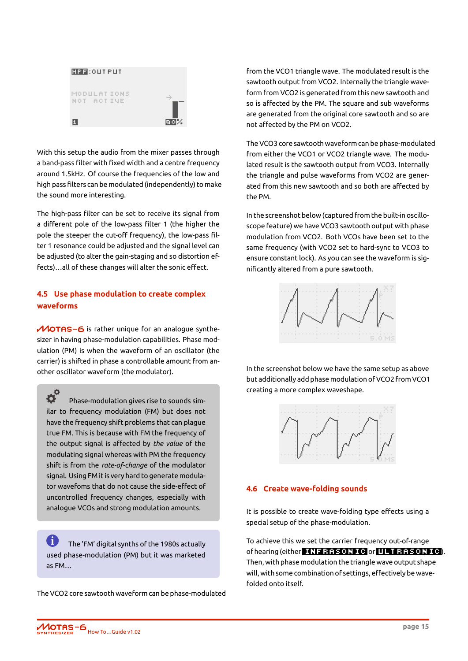

With this setup the audio from the mixer passes through a band-pass filter with fixed width and a centre frequency around 1.5kHz. Of course the frequencies of the low and high pass filters can be modulated (independently) to make the sound more interesting.

The high-pass filter can be set to receive its signal from a different pole of the low-pass filter 1 (the higher the pole the steeper the cut-off frequency), the low-pass filter 1 resonance could be adjusted and the signal level can be adjusted (to alter the gain-staging and so distortion effects)…all of these changes will alter the sonic effect.

#### <span id="page-17-0"></span>**4.5 Use phase modulation to create complex waveforms**

 $M$ OTAS-6 is rather unique for an analogue synthesizer in having phase-modulation capabilities. Phase modulation (PM) is when the waveform of an oscillator (the carrier) is shifted in phase a controllable amount from another oscillator waveform (the modulator).

 $\boldsymbol{\dot{\alpha}}^{\alpha}$ Phase-modulation gives rise to sounds similar to frequency modulation (FM) but does not have the frequency shift problems that can plague true FM. This is because with FM the frequency of the output signal is affected by *the value* of the modulating signal whereas with PM the frequency shift is from the *rate-of-change* of the modulator signal. Using FM it is very hard to generate modulator wavefoms that do not cause the side-effect of uncontrolled frequency changes, especially with analogue VCOs and strong modulation amounts.

**i** The 'FM' digital synths of the 1980s actually used phase-modulation (PM) but it was marketed as FM…

The VCO2 core sawtooth waveform can be phase-modulated

from the VCO1 triangle wave. The modulated result is the sawtooth output from VCO2. Internally the triangle waveform from VCO2 is generated from this new sawtooth and so is affected by the PM. The square and sub waveforms are generated from the original core sawtooth and so are not affected by the PM on VCO2.

The VCO3 core sawtooth waveform can be phase-modulated from either the VCO1 or VCO2 triangle wave. The modulated result is the sawtooth output from VCO3. Internally the triangle and pulse waveforms from VCO2 are generated from this new sawtooth and so both are affected by the PM.

In the screenshot below (captured from the built-in oscilloscope feature) we have VCO3 sawtooth output with phase modulation from VCO2. Both VCOs have been set to the same frequency (with VCO2 set to hard-sync to VCO3 to ensure constant lock). As you can see the waveform is significantly altered from a pure sawtooth.



In the screenshot below we have the same setup as above but additionally add phase modulation of VCO2 from VCO1 creating a more complex waveshape.



#### <span id="page-17-1"></span>**4.6 Create wave-folding sounds**

It is possible to create wave-folding type effects using a special setup of the phase-modulation.

To achieve this we set the carrier frequency out-of-range of hearing (either INFRASONIC or ULTRASONIC). Then, with phase modulation the triangle wave output shape will, with some combination of settings, effectively be wavefolded onto itself.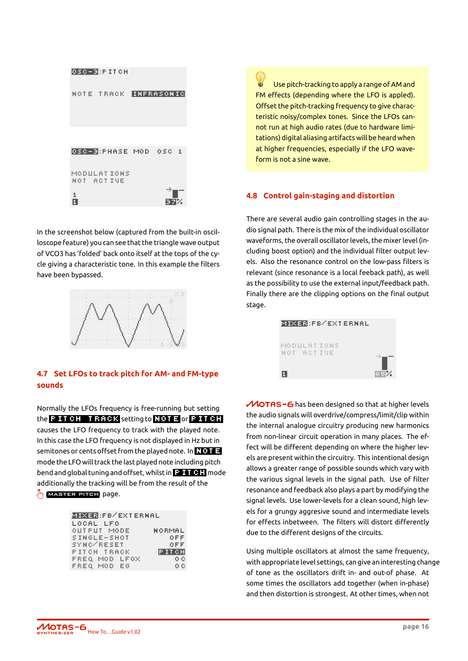

In the screenshot below (captured from the built-in oscilloscope feature) you can see that the triangle wave output of VCO3 has 'folded' back onto itself at the tops of the cycle giving a characteristic tone. In this example the filters have been bypassed.



#### <span id="page-18-0"></span>**4.7 Set LFOs to track pitch for AM- and FM-type sounds**

Normally the LFOs frequency is free-running but setting the  $P$  ITCH TRACK setting to  $NOTE$  or  $P$  ITCH causes the LFO frequency to track with the played note. In this case the LFO frequency is not displayed in Hz but in semitones or cents offset from the played note. In  $\frac{1}{2}$ mode the LFO will track the last played note including pitch bend and global tuning and offset, whilst in **Pitch Man**ode additionally the tracking will be from the result of the master pitch page.

| <b>MIXER:FB/EXTERNAL</b> |          |
|--------------------------|----------|
| LOCAL LFO                |          |
| OUTPUT MODE              | NORMAL   |
| SINGLE-SHOT              | OFF      |
| SYNC/RESET               | OFF      |
| PITCH TRACK              | IP IT CH |
| FREQ MOD LFOX            | 0.0      |
| FREQ MOD EG              | ΟC       |

Use pitch-tracking to apply a range of AM and FM effects (depending where the LFO is appled). Offset the pitch-tracking frequency to give characteristic noisy/complex tones. Since the LFOs cannot run at high audio rates (due to hardware limitations) digital aliasing artifacts will be heard when at higher frequencies, especially if the LFO waveform is not a sine wave.

#### <span id="page-18-1"></span>**4.8 Control gain-staging and distortion**

There are several audio gain controlling stages in the audio signal path. There is the mix of the individual oscillator waveforms, the overall oscillator levels, the mixer level (including boost option) and the individual filter output levels. Also the resonance control on the low-pass filters is relevant (since resonance is a local feeback path), as well as the possibility to use the external input/feedback path. Finally there are the clipping options on the final output stage.



 $M$ OTAS – 6 has been designed so that at higher levels the audio signals will overdrive/compress/limit/clip within the internal analogue circuitry producing new harmonics from non-linear circuit operation in many places. The effect will be different depending on where the higher levels are present within the circuitry. This intentional design allows a greater range of possible sounds which vary with the various signal levels in the signal path. Use of filter resonance and feedback also plays a part by modifying the signal levels. Use lower-levels for a clean sound, high levels for a grungy aggresive sound and intermediate levels for effects inbetween. The filters will distort differently due to the different designs of the circuits.

Using multiple oscillators at almost the same frequency, with appropriate level settings, can give an interesting change of tone as the oscillators drift in- and out-of phase. At some times the oscillators add together (when in-phase) and then distortion is strongest. At other times, when not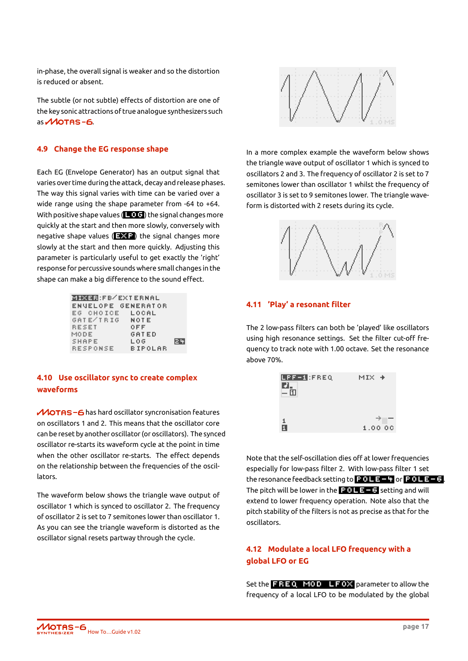in-phase, the overall signal is weaker and so the distortion is reduced or absent.

The subtle (or not subtle) effects of distortion are one of the key sonic attractions of true analogue synthesizers such  $as$  *MOTAS-6.* 

#### <span id="page-19-0"></span>**4.9 Change the EG response shape**

Each EG (Envelope Generator) has an output signal that varies over time during the attack, decay and release phases. The way this signal varies with time can be varied over a wide range using the shape parameter from -64 to +64. With positive shape values  $($   $\Box$   $\Box$  ) the signal changes more quickly at the start and then more slowly, conversely with negative shape values  $(2, 2)$  the signal changes more slowly at the start and then more quickly. Adjusting this parameter is particularly useful to get exactly the 'right' response for percussive sounds where small changes in the shape can make a big difference to the sound effect.

| <b>MIXER:FB/EXTERNAL</b> |              |      |  |  |
|--------------------------|--------------|------|--|--|
| ENVELOPE GENERATOR       |              |      |  |  |
| EG CHOICE LOCAL          |              |      |  |  |
| GATE/IRIG NOTE           |              |      |  |  |
| RESET                    | 0 F F        |      |  |  |
| MODE.                    | <b>GATED</b> |      |  |  |
| SHAPE                    | LOG          | 12 Y |  |  |
| <b>RESPONSE</b>          | BIPOLAR      |      |  |  |

#### <span id="page-19-1"></span>**4.10 Use oscillator sync to create complex waveforms**

 $M$ OTAS - 6 has hard oscillator syncronisation features on oscillators 1 and 2. This means that the oscillator core can be reset by another oscillator (or oscillators). The synced oscillator re-starts its waveform cycle at the point in time when the other oscillator re-starts. The effect depends on the relationship between the frequencies of the oscillators.

The waveform below shows the triangle wave output of oscillator 1 which is synced to oscillator 2. The frequency of oscillator 2 is set to 7 semitones lower than oscillator 1. As you can see the triangle waveform is distorted as the oscillator signal resets partway through the cycle.



In a more complex example the waveform below shows the triangle wave output of oscillator 1 which is synced to oscillators 2 and 3. The frequency of oscillator 2 is set to 7 semitones lower than oscillator 1 whilst the frequency of oscillator 3 is set to 9 semitones lower. The triangle waveform is distorted with 2 resets during its cycle.



#### <span id="page-19-2"></span>**4.11 'Play' a resonant filter**

The 2 low-pass filters can both be 'played' like oscillators using high resonance settings. Set the filter cut-off frequency to track note with 1.00 octave. Set the resonance above 70%.



Note that the self-oscillation dies off at lower frequencies especially for low-pass filter 2. With low-pass filter 1 set the resonance feedback setting to pole-4 or pole-6 . The pitch will be lower in the  $\frac{1}{2}$   $\frac{1}{2}$  and setting and will extend to lower frequency operation. Note also that the pitch stability of the filters is not as precise as that for the oscillators.

#### **4.12 Modulate a local LFO frequency with a global LFO or EG**

Set the  $\overline{F}$   $\overline{F}$   $\overline{F}$   $\overline{F}$   $\overline{F}$   $\overline{F}$   $\overline{F}$  parameter to allow the frequency of a local LFO to be modulated by the global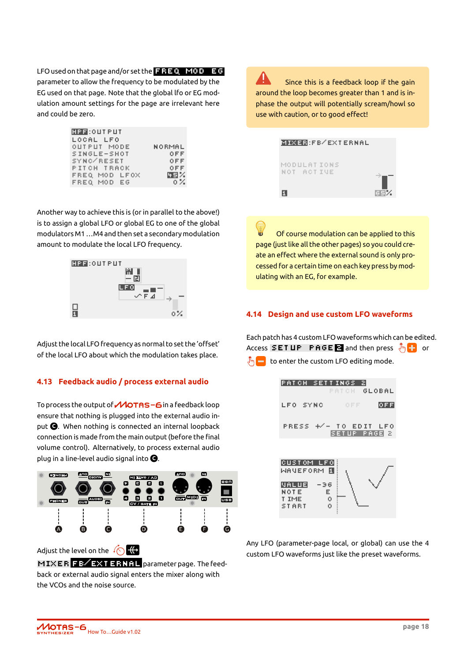LFO used on that page and/or set the  $\overline{F}$   $\overline{FQ}$  mod  $\overline{E}$   $\overline{G}$ parameter to allow the frequency to be modulated by the EG used on that page. Note that the global lfo or EG modulation amount settings for the page are irrelevant here and could be zero.

| <b>HPF:OUTPUT</b> |        |
|-------------------|--------|
| LOCAL LFO         |        |
| OUTPUT MODE       | NORMAL |
| SINGLE-SHOT       | 0 F F  |
| SYNC/RESET        | OFF    |
| PITCH TRACK       | OFF    |
| FREQ MOD LFOX     | 四月光    |
| FREQ MOD EG       | 0 Z.   |
|                   |        |

Another way to achieve this is (or in parallel to the above!) is to assign a global LFO or global EG to one of the global modulators M1…M4 and then set a secondary modulation amount to modulate the local LFO frequency.



Adjust the local LFO frequency as normal to set the 'offset' of the local LFO about which the modulation takes place.

#### <span id="page-20-0"></span>**4.13 Feedback audio / process external audio**

To process the output of  $\mathcal M$ OTAS - 6 in a feedback loop ensure that nothing is plugged into the external audio input **C** . When nothing is connected an internal loopback connection is made from the main output (before the final volume control). Alternatively, to process external audio plug in a line-level audio signal into **C** .



Adjust the level on the  $\sqrt{\left(\right)}$ 

MIXER FB/EXTERNAL parameter page. The feedback or external audio signal enters the mixer along with the VCOs and the noise source.

Since this is a feedback loop if the gain around the loop becomes greater than 1 and is inphase the output will potentially scream/howl so use with caution, or to good effect!

|                           | <b>MIXER:FB/EXTERNAL</b> |     |
|---------------------------|--------------------------|-----|
| MODULATIONS<br>NOT ACTIVE |                          |     |
| 0                         |                          | 阿耳米 |

Of course modulation can be applied to this page (just like all the other pages) so you could create an effect where the external sound is only processed for a certain time on each key press by modulating with an EG, for example.

#### <span id="page-20-1"></span>**4.14 Design and use custom LFO waveforms**

Each patch has 4 custom LFO waveforms which can be edited. Access  $SET UP$  PAGE 2 and then press  $\sqrt[8]{\cdot}$  or  $\sqrt[8]{\mathbb{F}_0}$  to enter the custom LFO editing mode.



Any LFO (parameter-page local, or global) can use the 4 custom LFO waveforms just like the preset waveforms.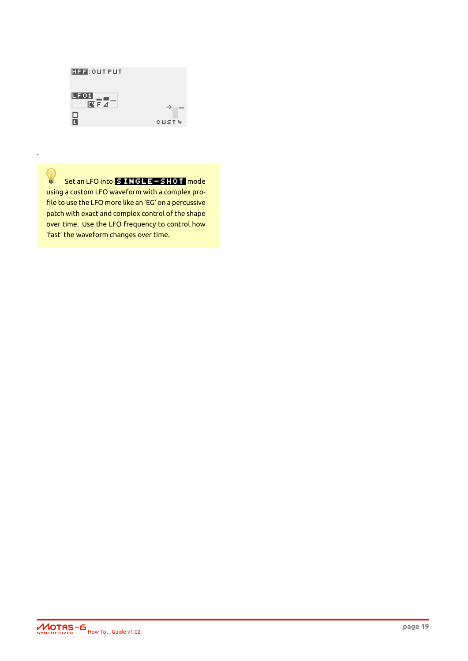

Set an LFO into **SINGLE-SHOT** mode

using a custom LFO waveform with a complex profile to use the LFO more like an 'EG' on a percussive patch with exact and complex control of the shape over time. Use the LFO frequency to control how 'fast' the waveform changes over time.

.

0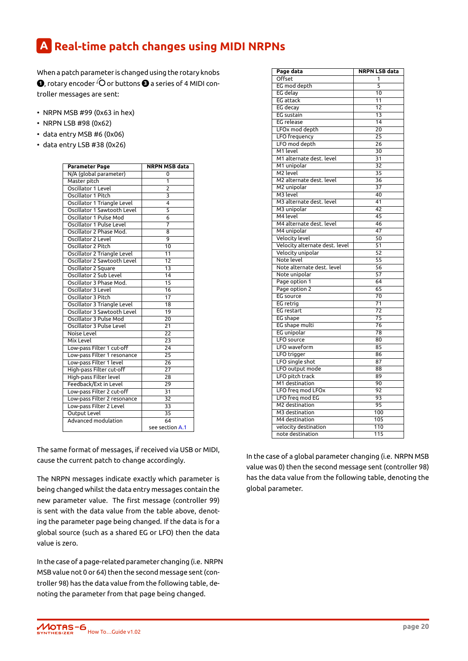### **A Real-time patch changes using MIDI NRPNs**

When a patch parameter is changed using the rotary knobs  $\bullet$ , rotary encoder  $\circ$  or buttons  $\bullet$  a series of 4 MIDI controller messages are sent:

- <span id="page-22-0"></span>• NRPN MSB #99 (0x63 in hex)
- NRPN LSB #98 (0x62)
- data entry MSB #6 (0x06)
- data entry LSB #38 (0x26)

| <b>Parameter Page</b>       | <b>NRPN MSB data</b> |
|-----------------------------|----------------------|
| N/A (global parameter)      | 0                    |
| Master pitch                | 1                    |
| Oscillator 1 Level          | $\overline{2}$       |
| Oscillator 1 Pitch          | 3                    |
| Oscillator 1 Triangle Level | $\overline{4}$       |
| Oscillator 1 Sawtooth Level | 5                    |
| Oscillator 1 Pulse Mod      | $\overline{6}$       |
| Oscillator 1 Pulse Level    | $\overline{7}$       |
| Oscillator 2 Phase Mod.     | 8                    |
| Oscillator 2 Level          | 9                    |
| Oscillator 2 Pitch          | 10                   |
| Oscillator 2 Triangle Level | 11                   |
| Oscillator 2 Sawtooth Level | 12                   |
| Oscillator 2 Square         | 13                   |
| Oscillator 2 Sub Level      | 14                   |
| Oscillator 3 Phase Mod.     | $\overline{15}$      |
| Oscillator 3 Level          | 16                   |
| Oscillator 3 Pitch          | 17                   |
| Oscillator 3 Triangle Level | 18                   |
| Oscillator 3 Sawtooth Level | 19                   |
| Oscillator 3 Pulse Mod      | $\overline{20}$      |
| Oscillator 3 Pulse Level    | $\overline{21}$      |
| Noise Level                 | 22                   |
| Mix Level                   | $\overline{23}$      |
| Low-pass Filter 1 cut-off   | $\overline{24}$      |
| Low-pass Filter 1 resonance | 25                   |
| Low-pass Filter 1 level     | 26                   |
| High-pass Filter cut-off    | 27                   |
| High-pass Filter level      | 28                   |
| Feedback/Ext in Level       | 29                   |
| Low-pass Filter 2 cut-off   | 31                   |
| Low-pass Filter 2 resonance | 32                   |
| Low-pass Filter 2 Level     | 33                   |
| Output Level                | 35                   |
| <b>Advanced modulation</b>  | 64                   |
|                             | see section A.1      |

The same format of messages, if received via USB or MIDI, cause the current patch to change according[ly.](#page-23-0)

The NRPN messages indicate exactly which parameter is being changed whilst the data entry messages contain the new parameter value. The first message (controller 99) is sent with the data value from the table above, denoting the parameter page being changed. If the data is for a global source (such as a shared EG or LFO) then the data value is zero.

In the case of a page-related parameter changing (i.e. NRPN MSB value not 0 or 64) then the second message sent (controller 98) has the data value from the following table, denoting the parameter from that page being changed.

| Page data                                | NRPN LSB data   |
|------------------------------------------|-----------------|
| Offset                                   | 1               |
| EG mod depth                             | 5               |
| <b>EG</b> delay                          | 10              |
| <b>EG</b> attack                         | 11              |
| EG decay                                 | 12              |
| EG sustain                               | $\overline{13}$ |
| <b>EG</b> release                        | 14              |
| LFOx mod depth                           | 20              |
| LFO frequency                            | 25              |
| LFO mod depth                            | 26              |
| M1 level                                 | 30              |
| M1 alternate dest. level                 | 31              |
| M1 unipolar                              | 32              |
| M2 level                                 | 35              |
| M2 alternate dest. level                 | 36              |
| M2 unipolar                              | 37              |
| M3 level                                 | 40              |
| M3 alternate dest. level                 | 41              |
| M3 unipolar                              | 42              |
| M4 level                                 | 45              |
| M4 alternate dest. level                 | 46              |
| M4 unipolar                              | 47              |
| <b>Velocity level</b>                    | 50              |
| Velocity alternate dest. level           | 51              |
| Velocity unipolar                        | 52              |
| Note level                               | 55              |
| Note alternate dest. level               | 56              |
| Note unipolar                            | 57              |
| Page option 1                            | 64              |
| Page option 2                            | 65              |
| EG source                                | $\overline{70}$ |
| EG retrig                                | $\overline{71}$ |
| EG restart                               | 72              |
| EG shape                                 | $\overline{75}$ |
| EG shape multi                           | 76              |
| EG unipolar                              | 78              |
| LFO source                               | 80              |
| LFO waveform                             | 85              |
| LFO trigger                              | 86              |
| LFO single shot                          | 87              |
| LFO output mode                          | 88              |
| LFO pitch track                          | 89              |
| M1 destination                           | 90              |
| LFO freq mod LFOx                        | 92              |
| LFO freq mod EG                          | 93              |
| M2 destination                           | 95              |
| M3 destination                           | 100             |
| M4 destination                           | 105             |
|                                          | 110             |
| velocity destination<br>note destination |                 |
|                                          | 115             |

In the case of a global parameter changing (i.e. NRPN MSB value was 0) then the second message sent (controller 98) has the data value from the following table, denoting the global parameter.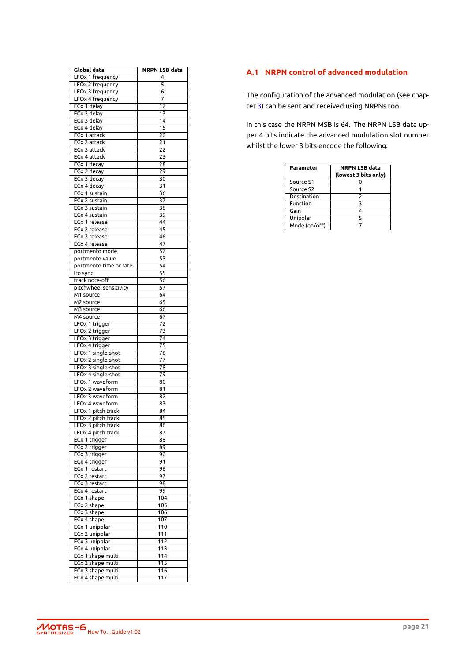| Global data            | NRPN LSB data    |
|------------------------|------------------|
| LFOx 1 frequency       | 4                |
| LFOx 2 frequency       | 5                |
| LFOx 3 frequency       | 6                |
| LFOx 4 frequency       | 7                |
| EGx 1 delay            | 12               |
| EGx 2 delay            | 13               |
| EGx 3 delay            | 14               |
| EGx 4 delay            | 15               |
| EGx 1 attack           | 20               |
| EGx 2 attack           | 21               |
| EGx 3 attack           | 22               |
| EGx 4 attack           | 23               |
| EGx 1 decay            | 28               |
| EGx 2 decay            | 29               |
| EGx 3 decay            | 30               |
| EGx 4 decay            | 31               |
| EGx 1 sustain          | 36               |
| EGx 2 sustain          | $\overline{37}$  |
| EGx 3 sustain          | 38               |
| EGx 4 sustain          | 39               |
| EGx 1 release          | 44               |
| <b>EGx 2 release</b>   | 45               |
| EGx 3 release          | 46               |
|                        |                  |
| EGx 4 release          | 47               |
| portmento mode         | 52               |
| portmento value        | 53               |
| portmento time or rate | 54               |
| lfo sync               | 55               |
| track note-off         | 56               |
| pitchwheel sensitivity | 57               |
| M1 source              | 64               |
| M <sub>2</sub> source  | 65               |
| M3 source              | 66               |
| M4 source              | 67               |
| LFOx 1 trigger         | 72               |
| LFOx 2 trigger         | 73               |
| LFOx 3 trigger         | 74               |
| LFOx 4 trigger         | 75               |
| LFOx 1 single-shot     | 76               |
| LFOx 2 single-shot     | 77               |
| LFOx 3 single-shot     | 78               |
| LFOx 4 single-shot     | 79               |
| LFOx 1 waveform        | 80               |
| LFOx 2 waveform        | 81               |
| LFOx 3 waveform        | 82               |
| LFOx 4 waveform        | 83               |
| LFOx 1 pitch track     | 84               |
| LFOx 2 pitch track     | 85               |
| LFOx 3 pitch track     | 86               |
| LFOx 4 pitch track     | 87               |
| EGx 1 trigger          | 88               |
| EGx 2 trigger          | 89               |
| EGx 3 trigger          | 90               |
| EGx 4 trigger          | 91               |
| EGx 1 restart          | 96               |
| EGx 2 restart          | 97               |
|                        |                  |
| EGx 3 restart          | 98<br>99         |
| EGx 4 restart          |                  |
| EGx 1 shape            | 104              |
| EGx 2 shape            | 105              |
| EGx 3 shape            | 106              |
| EGx 4 shape            | 107              |
| EGx 1 unipolar         | 110              |
| EGx 2 unipolar         | 111              |
| EGx 3 unipolar         | 112              |
| EGx 4 unipolar         | $\overline{113}$ |
| EGx 1 shape multi      | 114              |
| EGx 2 shape multi      | 115              |
| EGx 3 shape multi      | 116              |
| EGx 4 shape multi      | $\overline{117}$ |

#### **A.1 NRPN control of advanced modulation**

The configuration of the advanced modulation (see chapter 3) can be sent and received using NRPNs too.

In this case the NRPN MSB is 64. The NRPN LSB data upper 4 bits indicate the advanced modulation slot number whi[ls](#page-12-0)t the lower 3 bits encode the following:

<span id="page-23-0"></span>

| Parameter     | <b>NRPN LSB data</b><br>(lowest 3 bits only) |
|---------------|----------------------------------------------|
| Source S1     |                                              |
| Source S2     |                                              |
| Destination   | $\mathcal{P}$                                |
| Function      | 3                                            |
| Gain          |                                              |
| Unipolar      | 5                                            |
| Mode (on/off) |                                              |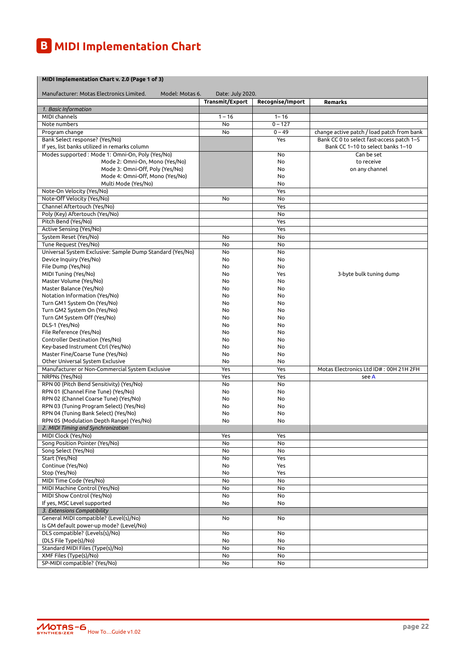### **B MIDI Implementation Chart**

| MIDI Implementation Chart v. 2.0 (Page 1 of 3)                               |                        |                  |                                            |
|------------------------------------------------------------------------------|------------------------|------------------|--------------------------------------------|
| Manufacturer: Motas Electronics Limited.<br>Model: Motas 6.                  | Date: July 2020.       |                  |                                            |
|                                                                              | <b>Transmit/Export</b> | Recognise/Import | Remarks                                    |
| 1. Basic Information                                                         |                        |                  |                                            |
| MIDI channels                                                                | $1 - 16$               | $1 - 16$         |                                            |
| Note numbers                                                                 | No                     | $0 - 127$        |                                            |
| Program change                                                               | No                     | $0 - 49$         | change active patch / load patch from bank |
| Bank Select response? (Yes/No)                                               |                        | Yes              | Bank CC 0 to select fast-access patch 1-5  |
| If yes, list banks utilized in remarks column                                |                        |                  | Bank CC 1-10 to select banks 1-10          |
| Modes supported : Mode 1: Omni-On, Poly (Yes/No)                             |                        | No               | Can be set                                 |
| Mode 2: Omni-On, Mono (Yes/No)                                               |                        | No               | to receive                                 |
| Mode 3: Omni-Off, Poly (Yes/No)                                              |                        | No               | on any channel                             |
| Mode 4: Omni-Off, Mono (Yes/No)                                              |                        | No               |                                            |
| Multi Mode (Yes/No)                                                          |                        | No               |                                            |
| Note-On Velocity (Yes/No)                                                    |                        | Yes              |                                            |
| Note-Off Velocity (Yes/No)                                                   | No                     | No               |                                            |
| Channel Aftertouch (Yes/No)                                                  |                        | Yes              |                                            |
| Poly (Key) Aftertouch (Yes/No)<br>Pitch Bend (Yes/No)                        |                        | No<br>Yes        |                                            |
| Active Sensing (Yes/No)                                                      |                        | Yes              |                                            |
| System Reset (Yes/No)                                                        | No                     | No               |                                            |
| Tune Request (Yes/No)                                                        | No                     | No               |                                            |
| Universal System Exclusive: Sample Dump Standard (Yes/No)                    | No                     | No               |                                            |
| Device Inquiry (Yes/No)                                                      | No                     | No               |                                            |
| File Dump (Yes/No)                                                           | No                     | No               |                                            |
| MIDI Tuning (Yes/No)                                                         | No                     | Yes              | 3-byte bulk tuning dump                    |
| Master Volume (Yes/No)                                                       | No                     | No               |                                            |
| Master Balance (Yes/No)                                                      | No                     | No               |                                            |
| Notation Information (Yes/No)                                                | No                     | No               |                                            |
| Turn GM1 System On (Yes/No)                                                  | No                     | No               |                                            |
| Turn GM2 System On (Yes/No)                                                  | No                     | No               |                                            |
| Turn GM System Off (Yes/No)                                                  | No                     | No               |                                            |
| DLS-1 (Yes/No)                                                               | No                     | No               |                                            |
| File Reference (Yes/No)                                                      | No                     | No               |                                            |
| Controller Destination (Yes/No)                                              | No                     | No               |                                            |
| Key-based Instrument Ctrl (Yes/No)                                           | No                     | No               |                                            |
| Master Fine/Coarse Tune (Yes/No)                                             | No                     | No               |                                            |
| Other Universal System Exclusive                                             | No                     | No               |                                            |
| Manufacturer or Non-Commercial System Exclusive                              | Yes                    | Yes              | Motas Electronics Ltd ID#: 00H 21H 2FH     |
| NRPNs (Yes/No)                                                               | Yes                    | Yes              | see A                                      |
| RPN 00 (Pitch Bend Sensitivity) (Yes/No)                                     | No                     | No               |                                            |
| RPN 01 (Channel Fine Tune) (Yes/No)<br>RPN 02 (Channel Coarse Tune) (Yes/No) | No<br>No               | No<br>No         |                                            |
| RPN 03 (Tuning Program Select) (Yes/No)                                      | No                     | No               |                                            |
| RPN 04 (Tuning Bank Select) (Yes/No)                                         | No                     | No               |                                            |
| RPN 05 (Modulation Depth Range) (Yes/No)                                     | No                     | No               |                                            |
| 2. MIDI Timing and Synchronization                                           |                        |                  |                                            |
| MIDI Clock (Yes/No)                                                          | Yes                    | <b>Yes</b>       |                                            |
| Song Position Pointer (Yes/No)                                               | No                     | No               |                                            |
| Song Select (Yes/No)                                                         | No                     | No               |                                            |
| Start (Yes/No)                                                               | No                     | Yes              |                                            |
| Continue (Yes/No)                                                            | No                     | Yes              |                                            |
| Stop (Yes/No)                                                                | No                     | Yes              |                                            |
| MIDI Time Code (Yes/No)                                                      | No                     | No               |                                            |
| MIDI Machine Control (Yes/No)                                                | No                     | No               |                                            |
| MIDI Show Control (Yes/No)                                                   | No                     | No               |                                            |
| If yes, MSC Level supported                                                  | No                     | No               |                                            |
| 3. Extensions Compatibility                                                  |                        |                  |                                            |
| General MIDI compatible? (Level(s)/No)                                       | No                     | No               |                                            |
| Is GM default power-up mode? (Level/No)                                      |                        |                  |                                            |
| DLS compatible? (Levels(s)/No)                                               | No                     | No               |                                            |
| (DLS File Type(s)/No)                                                        | No                     | No               |                                            |
| Standard MIDI Files (Type(s)/No)                                             | No                     | No               |                                            |
| XMF Files (Type(s)/No)                                                       | No                     | No               |                                            |
| SP-MIDI compatible? (Yes/No)                                                 | No                     | No               |                                            |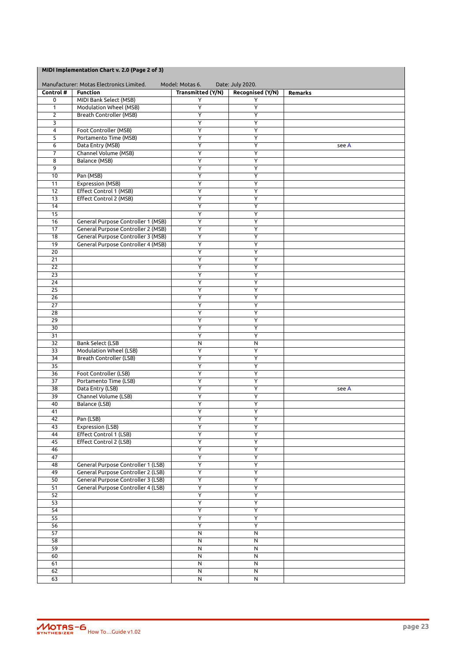| MIDI Implementation Chart v. 2.0 (Page 2 of 3) |  |
|------------------------------------------------|--|
|------------------------------------------------|--|

|                       | Manufacturer: Motas Electronics Limited.  | Model: Motas 6.               | Date: July 2020.        |         |
|-----------------------|-------------------------------------------|-------------------------------|-------------------------|---------|
| Control #<br>0        | <b>Function</b><br>MIDI Bank Select (MSB) | <b>Transmitted (Y/N)</b><br>Υ | Recognised (Y/N)<br>Y   | Remarks |
| 1                     | Modulation Wheel (MSB)                    | $\overline{\mathsf{Y}}$       | Ÿ                       |         |
| $\overline{2}$        | <b>Breath Controller (MSB)</b>            | $\overline{\mathsf{Y}}$       | Ÿ                       |         |
| 3                     |                                           | Y                             | Ÿ                       |         |
| 4                     | Foot Controller (MSB)                     | $\overline{Y}$                | Ÿ                       |         |
| 5                     | Portamento Time (MSB)                     | $\overline{Y}$                | Ÿ                       |         |
| 6                     | Data Entry (MSB)                          | Υ                             | Υ                       | see A   |
| 7                     | Channel Volume (MSB)                      | $\overline{\mathsf{Y}}$       | Ÿ                       |         |
| 8                     | Balance (MSB)                             | Υ                             | Υ                       |         |
| 9                     |                                           | $\overline{\mathsf{Y}}$       | $\overline{Y}$          |         |
| 10                    | Pan (MSB)                                 | Y                             | Υ                       |         |
| 11                    | <b>Expression (MSB)</b>                   | Y                             | Υ                       |         |
| 12                    | <b>Effect Control 1 (MSB)</b>             | $\overline{\mathsf{Y}}$       | $\overline{\mathsf{Y}}$ |         |
| 13                    | <b>Effect Control 2 (MSB)</b>             | Ÿ                             | Ÿ                       |         |
| 14                    |                                           | $\overline{\mathsf{Y}}$       | Ÿ                       |         |
| 15<br>16              | General Purpose Controller 1 (MSB)        | Y<br>Υ                        | Υ<br>Y                  |         |
| 17                    | General Purpose Controller 2 (MSB)        | Υ                             | Ÿ                       |         |
| 18                    | <b>General Purpose Controller 3 (MSB)</b> | $\overline{\mathsf{Y}}$       | $\overline{\mathsf{Y}}$ |         |
| 19                    | <b>General Purpose Controller 4 (MSB)</b> | $\overline{Y}$                | Υ                       |         |
| 20                    |                                           | Y                             | Y                       |         |
| 21                    |                                           | Υ                             | Υ                       |         |
| 22                    |                                           | Υ                             | Y                       |         |
| 23                    |                                           | Υ                             | Υ                       |         |
| 24                    |                                           | Y                             | Υ                       |         |
| 25                    |                                           | $\overline{\mathsf{Y}}$       | $\overline{\mathsf{Y}}$ |         |
| 26                    |                                           | Υ                             | Υ                       |         |
| 27                    |                                           | $\overline{Y}$                | Ÿ                       |         |
| 28                    |                                           | Υ                             | Ÿ                       |         |
| 29                    |                                           | Y                             | Y                       |         |
| 30                    |                                           | Υ                             | $\overline{Y}$          |         |
| 31                    |                                           | $\overline{\mathsf{Y}}$       | Ÿ                       |         |
| 32                    | Bank Select (LSB                          | N                             | N                       |         |
| 33                    | <b>Modulation Wheel (LSB)</b>             | $\overline{Y}$                | Y                       |         |
| 34                    | Breath Controller (LSB)                   | Y                             | Υ                       |         |
| 35                    | Foot Controller (LSB)                     | Ÿ<br>$\overline{\mathsf{Y}}$  | Ÿ<br>Ÿ                  |         |
| 36<br>37              | Portamento Time (LSB)                     | $\overline{Y}$                | Υ                       |         |
| 38                    | Data Entry (LSB)                          | $\overline{Y}$                | Ÿ                       | see A   |
| 39                    | Channel Volume (LSB)                      | Υ                             | Υ                       |         |
| 40                    | Balance (LSB)                             | $\overline{\mathsf{Y}}$       | $\overline{\mathsf{Y}}$ |         |
| 41                    |                                           | Υ                             | Υ                       |         |
| 42                    | Pan (LSB)                                 | $\overline{Y}$                | Υ                       |         |
| 43                    | Expression (LSB)                          | Y                             | $\overline{Y}$          |         |
| 44                    | Effect Control 1 (LSB)                    | Ÿ                             | Ÿ                       |         |
| 45                    | Effect Control 2 (LSB)                    | $\overline{Y}$                | $\overline{Y}$          |         |
| 46                    |                                           | $\overline{Y}$                | $\overline{Y}$          |         |
| 47                    |                                           | $\overline{\mathsf{Y}}$       | $\overline{Y}$          |         |
| 48                    | <b>General Purpose Controller 1 (LSB)</b> | $\overline{Y}$                | $\overline{Y}$          |         |
| 49                    | General Purpose Controller 2 (LSB)        | $\overline{Y}$                | $\overline{Y}$          |         |
| 50                    | General Purpose Controller 3 (LSB)        | Y                             | Y                       |         |
| $\overline{51}$       | <b>General Purpose Controller 4 (LSB)</b> | $\overline{\mathsf{Y}}$       | $\overline{Y}$          |         |
| 52                    |                                           | $\overline{Y}$                | $\overline{Y}$          |         |
| 53                    |                                           | $\overline{\mathsf{Y}}$       | $\overline{\mathsf{Y}}$ |         |
| $\overline{54}$<br>55 |                                           | Y<br>Y                        | $\overline{Y}$<br>Y     |         |
| $\overline{56}$       |                                           | $\overline{Y}$                | $\overline{Y}$          |         |
| 57                    |                                           | $\overline{N}$                | $\overline{\mathsf{N}}$ |         |
| 58                    |                                           | $\overline{\mathsf{N}}$       | N                       |         |
| 59                    |                                           | $\overline{\mathsf{N}}$       | $\overline{\mathsf{N}}$ |         |
| 60                    |                                           | $\overline{N}$                | N                       |         |
| 61                    |                                           | $\overline{N}$                | N                       |         |
| 62                    |                                           | N                             | N                       |         |
| 63                    |                                           | ${\sf N}$                     | N                       |         |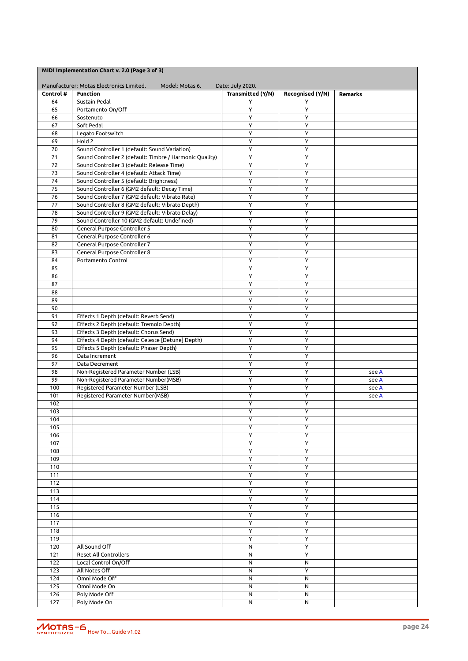|           | MIDI Implementation Chart v. 2.0 (Page 3 of 3)              |                          |                  |                |
|-----------|-------------------------------------------------------------|--------------------------|------------------|----------------|
|           | Manufacturer: Motas Electronics Limited.<br>Model: Motas 6. | Date: July 2020.         |                  |                |
| Control # | <b>Function</b>                                             | <b>Transmitted (Y/N)</b> | Recognised (Y/N) | <b>Remarks</b> |
| 64        | Sustain Pedal                                               | Y                        | Y                |                |
| 65        | Portamento On/Off                                           | Y                        | Y                |                |
| 66        | Sostenuto                                                   | Y                        | Y                |                |
| 67        | Soft Pedal                                                  | Υ                        | Y                |                |
| 68        | Legato Footswitch                                           | Y                        | Y                |                |
| 69        | Hold 2                                                      | Υ                        | Y                |                |
| 70        | Sound Controller 1 (default: Sound Variation)               | Υ                        | Y                |                |
| 71        | Sound Controller 2 (default: Timbre / Harmonic Quality)     | Υ                        | Y                |                |
| 72        | Sound Controller 3 (default: Release Time)                  | Y                        | Y                |                |
| 73        | Sound Controller 4 (default: Attack Time)                   | Y                        | Y                |                |
| 74        | Sound Controller 5 (default: Brightness)                    | Y                        | Y                |                |
| 75        | Sound Controller 6 (GM2 default: Decay Time)                | Y                        | Y                |                |
| 76        | Sound Controller 7 (GM2 default: Vibrato Rate)              | Y                        | Y                |                |
| 77        | Sound Controller 8 (GM2 default: Vibrato Depth)             | Y                        | Y                |                |
| 78        | Sound Controller 9 (GM2 default: Vibrato Delay)             | Υ                        | Y                |                |
| 79        | Sound Controller 10 (GM2 default: Undefined)                | Υ                        | Y                |                |
| 80        | General Purpose Controller 5                                | Y                        | Y                |                |
| 81        | General Purpose Controller 6                                | Y                        | Y                |                |
| 82        | General Purpose Controller 7                                | Y                        | Y                |                |
| 83        | General Purpose Controller 8                                | Y                        | Y                |                |
| 84        | Portamento Control                                          | Υ                        | Υ                |                |
| 85        |                                                             | Y                        | Y                |                |
| 86        |                                                             | Y                        | Y                |                |
| 87        |                                                             | Y                        | Y                |                |
| 88        |                                                             | Υ                        | Y                |                |
| 89        |                                                             | Y                        | Y                |                |
| 90        |                                                             | Y                        | Y                |                |
| 91        | Effects 1 Depth (default: Reverb Send)                      | Y                        | Y                |                |
| 92        | Effects 2 Depth (default: Tremolo Depth)                    | Y                        | Y                |                |
| 93        | Effects 3 Depth (default: Chorus Send)                      | Υ                        | Y                |                |
| 94        | Effects 4 Depth (default: Celeste [Detune] Depth)           | Y                        | Y                |                |
| 95        | Effects 5 Depth (default: Phaser Depth)                     | Y                        | Y                |                |
| 96        | Data Increment                                              | Υ                        | Y                |                |
| 97        | Data Decrement                                              | Y                        | Y                |                |
| 98        | Non-Registered Parameter Number (LSB)                       | Υ                        | Υ                | see A          |
| 99        | Non-Registered Parameter Number(MSB)                        | Y                        | Υ                | see A          |
| 100       | Registered Parameter Number (LSB)                           | Y                        | Y                | see A          |
| 101       | Registered Parameter Number(MSB)                            | Y                        | Y                | see A          |
| 102       |                                                             | Υ                        | Y                |                |
| 103       |                                                             | Y                        | Y                |                |
| 104       |                                                             | Υ                        | Y                |                |

105 | Y Y Y 106 | Y Y Y Y 107 | Y Y Y 108 | Y Y Y Y 109 | Y Y Y 110 | Y Y Y 111 | Y | Y 112 | Y Y Y 113 | Y Y Y 114 | Y | Y 115 | Y | Y 116 | Y Y Y Y 117 | Y | Y 118 | Y Y Y Y